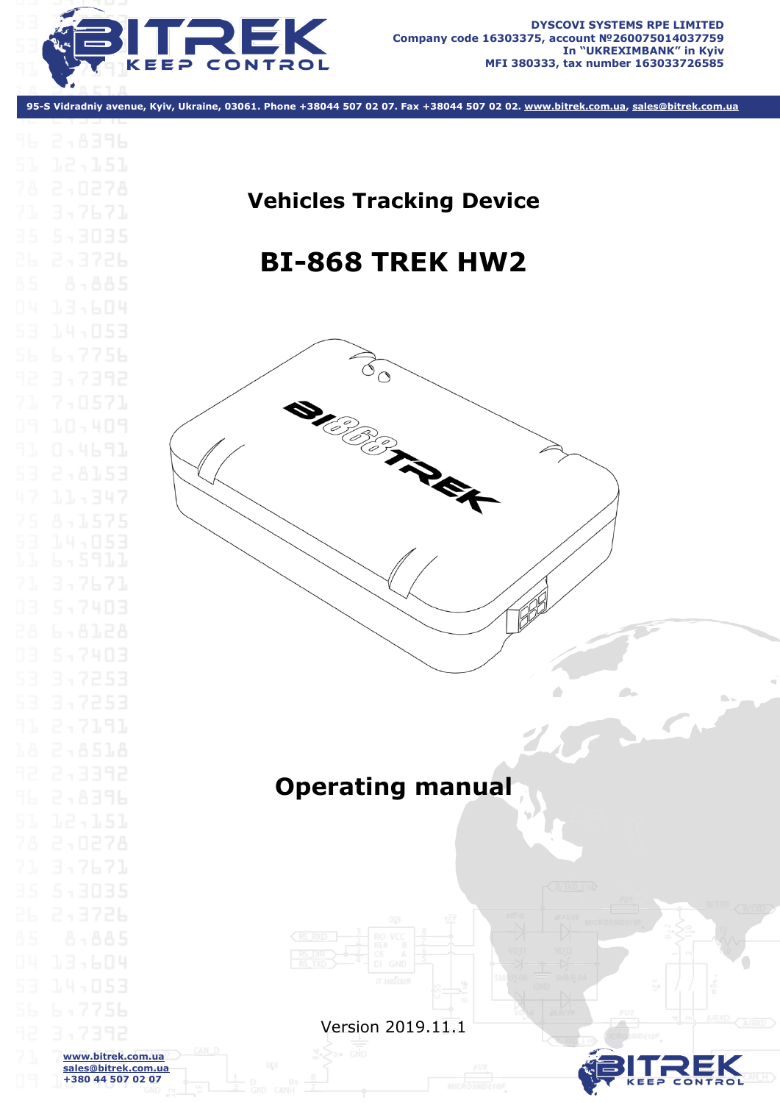

**95-S Vidradniy avenue, Kyiv, Ukraine, 03061. Phone +38044 507 02 07. Fax +38044 507 02 02. www.bitrek.com.ua, sales@bitrek.com.ua**

# **Vehicles Tracking Device BI-868 TREK HW2**

 $\overrightarrow{O}_Q$ 

**CORPORATION** 

# **Operating manual**





 $\sim$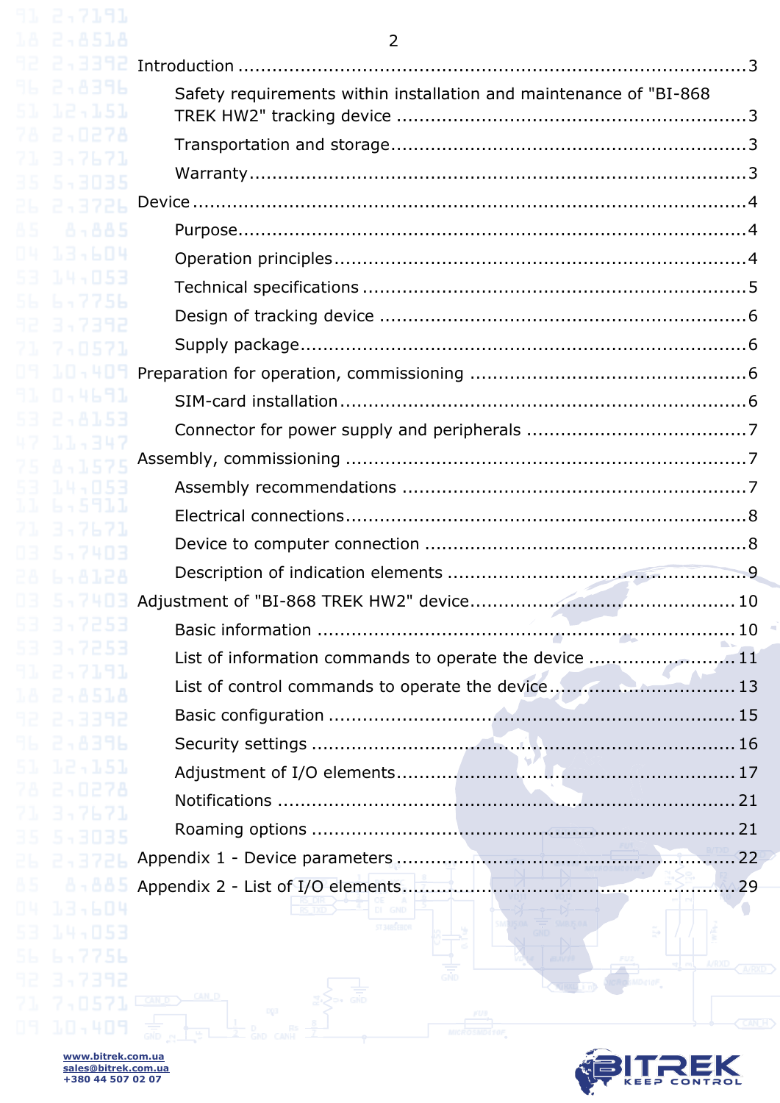<span id="page-1-0"></span>

| 11 2,7191                                |                                                                    |
|------------------------------------------|--------------------------------------------------------------------|
| 2.8518                                   | $\overline{2}$                                                     |
| 243392<br>2,8396                         |                                                                    |
| 12,151                                   | Safety requirements within installation and maintenance of "BI-868 |
| 2,0278                                   |                                                                    |
| 3,7671<br>5,3035                         |                                                                    |
| 2,3726                                   |                                                                    |
| 8-885                                    |                                                                    |
| 13,604                                   |                                                                    |
| 14,053                                   |                                                                    |
| 5,7756                                   |                                                                    |
| 3,7392<br>7,0571                         |                                                                    |
| 10,409                                   |                                                                    |
| 0.4691                                   |                                                                    |
| 2.8153                                   |                                                                    |
| 1.1.4347<br>8-1575                       |                                                                    |
| 14,053                                   |                                                                    |
| 6.5911                                   |                                                                    |
| 3,7671                                   |                                                                    |
| 5,7403<br>28 6.8128                      |                                                                    |
|                                          |                                                                    |
| 7253                                     |                                                                    |
| 3,7253                                   | List of information commands to operate the device 11              |
| - 71.91<br>2.8518                        | List of control commands to operate the device 13                  |
| -3392                                    |                                                                    |
| 2,8396                                   |                                                                    |
| 12,151                                   |                                                                    |
| 2,0278                                   |                                                                    |
| 3,7671<br>5,3035                         |                                                                    |
| オイソアト                                    |                                                                    |
| 8-885                                    | Appendix 2 - List of I/O elements.                                 |
| 13,604                                   |                                                                    |
| 14,053                                   | ST 348 SEBDR                                                       |
| 4 기억원원                                   |                                                                    |
| 751157                                   |                                                                    |
| 10,409                                   | <b>FUS</b><br><b>MICROSMOG10F</b>                                  |
| www.bitrek.com.ua<br>sales@bitrek.com.ua |                                                                    |
| +380 44 507 02 07                        |                                                                    |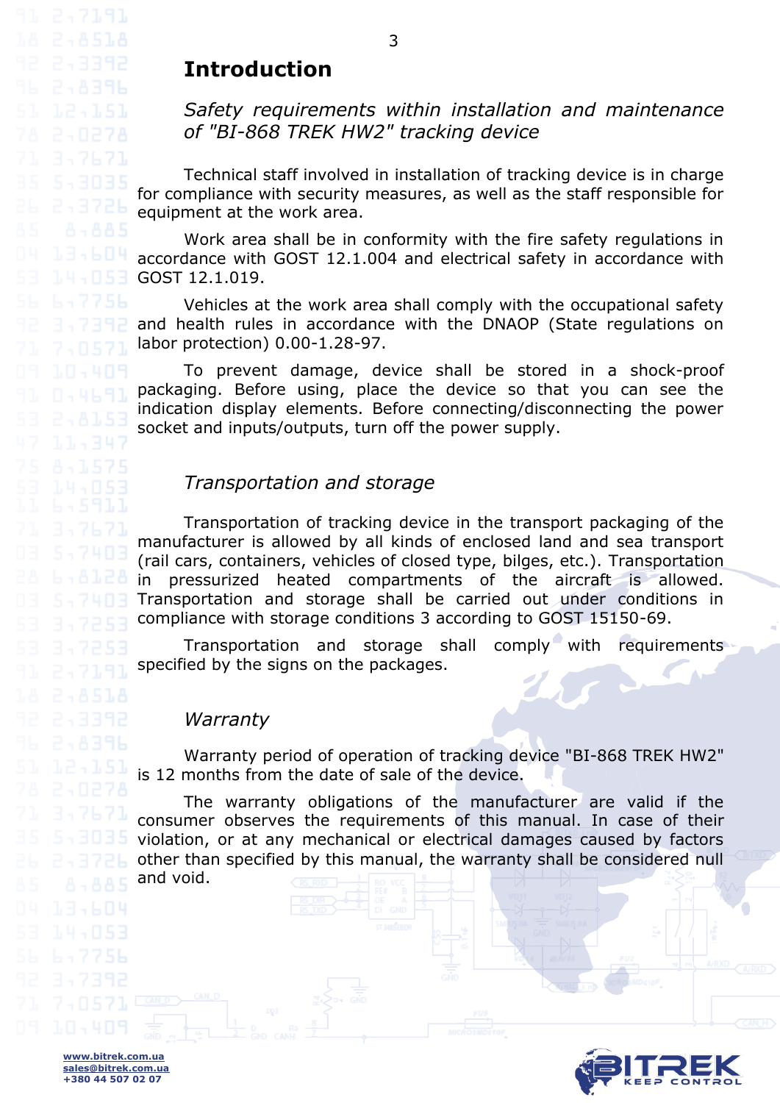# **Introduction**

<span id="page-2-0"></span>3,7671

7,8571

#### *Safety requirements within installation and maintenance of "BI-868 TREK HW2" tracking device*

Technical staff involved in installation of tracking device is in charge for compliance with security measures, as well as the staff responsible for equipment at the work area.

Work area shall be in conformity with the fire safety regulations in 13,604 accordance with GOST 12.1.004 and electrical safety in accordance with GOST 12.1.019.

> Vehicles at the work area shall comply with the occupational safety and health rules in accordance with the DNAOP (State regulations on labor protection) 0.00-1.28-97.

> To prevent damage, device shall be stored in a shock-proof packaging. Before using, place the device so that you can see the indication display elements. Before connecting/disconnecting the power socket and inputs/outputs, turn off the power supply.

#### *Transportation and storage*

<span id="page-2-1"></span>Transportation of tracking device in the transport packaging of the manufacturer is allowed by all kinds of enclosed land and sea transport (rail cars, containers, vehicles of closed type, bilges, etc.). Transportation in pressurized heated compartments of the aircraft is allowed. Transportation and storage shall be carried out under conditions in compliance with storage conditions 3 according to GOST 15150-69.

Transportation and storage shall comply with requirements specified by the signs on the packages.

#### *Warranty*

<span id="page-2-2"></span>Warranty period of operation of tracking device "BI-868 TREK HW2" is 12 months from the date of sale of the device.

The warranty obligations of the manufacturer are valid if the consumer observes the requirements of this manual. In case of their violation, or at any mechanical or electrical damages caused by factors other than specified by this manual, the warranty shall be considered null and void.

3

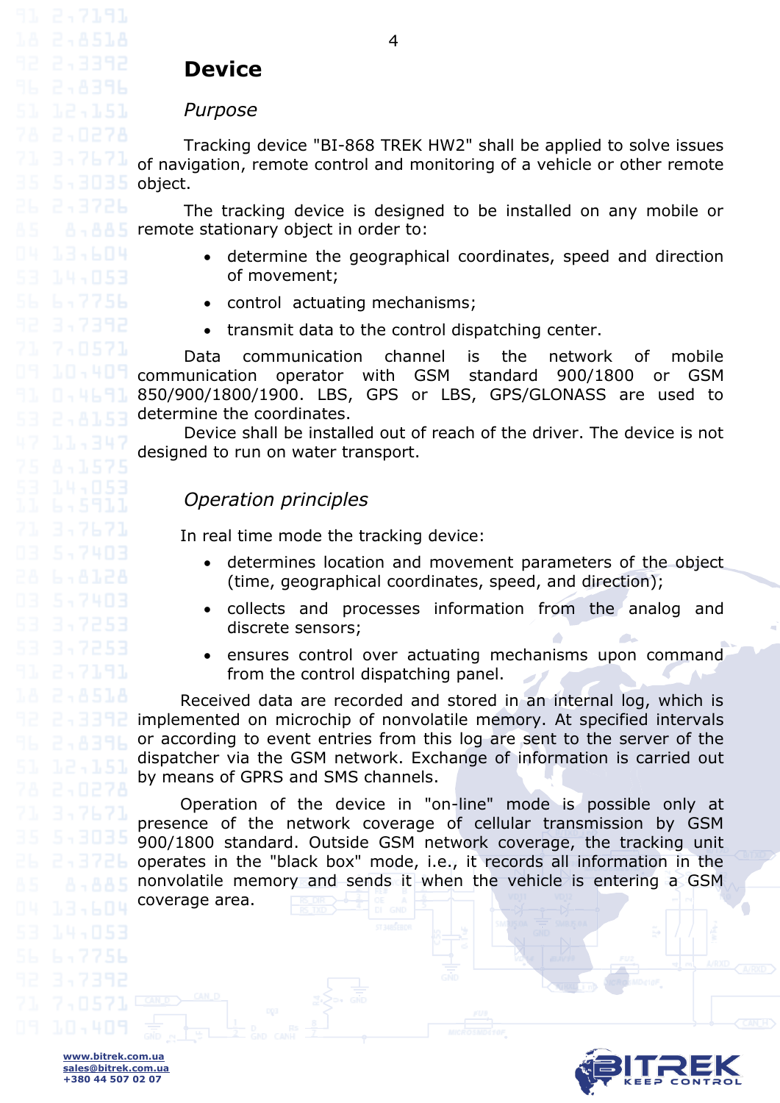<span id="page-3-1"></span><span id="page-3-0"></span>

7,8571

# **Device**

#### *Purpose*

Tracking device "BI-868 TREK HW2" shall be applied to solve issues of navigation, remote control and monitoring of a vehicle or other remote object.

The tracking device is designed to be installed on any mobile or  $\mathbf{F} \cdot \mathbf{B}$   $\mathbf{F}$  is remote stationary object in order to:

- determine the geographical coordinates, speed and direction of movement;
- control actuating mechanisms;
- transmit data to the control dispatching center.

Data communication channel is the network of mobile communication operator with GSM standard 900/1800 or GSM 850/900/1800/1900. LBS, GPS or LBS, GPS/GLONASS are used to determine the coordinates.

<span id="page-3-2"></span>Device shall be installed out of reach of the driver. The device is not designed to run on water transport.

#### *Operation principles*

In real time mode the tracking device:

- determines location and movement parameters of the object (time, geographical coordinates, speed, and direction);
- collects and processes information from the analog and discrete sensors;
- ensures control over actuating mechanisms upon command from the control dispatching panel.

Received data are recorded and stored in an internal log, which is implemented on microchip of nonvolatile memory. At specified intervals or according to event entries from this log are sent to the server of the dispatcher via the GSM network. Exchange of information is carried out by means of GPRS and SMS channels.

Operation of the device in "on-line" mode is possible only at presence of the network coverage of cellular transmission by GSM 900/1800 standard. Outside GSM network coverage, the tracking unit operates in the "black box" mode, i.e., it records all information in the nonvolatile memory and sends it when the vehicle is entering a GSM coverage area.



**www.bitrek.com.ua sales@bitrek.com.ua +380 44 507 02 07**

4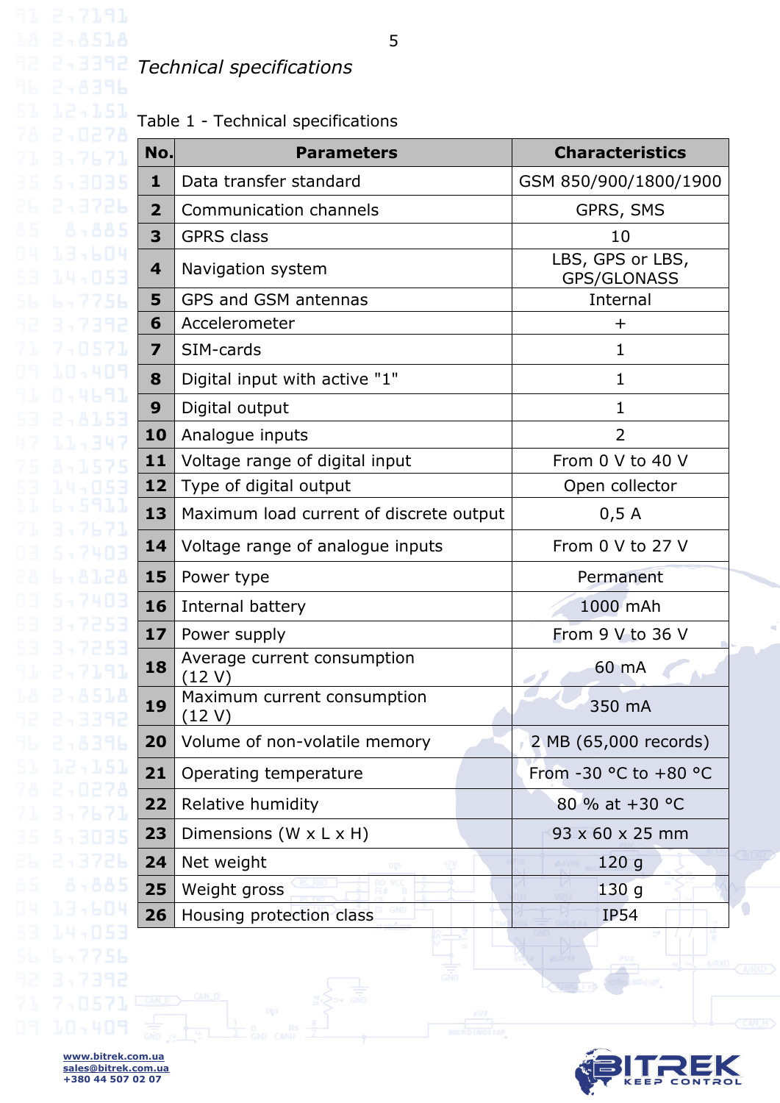### <span id="page-4-0"></span>*Technical specifications*

Table 1 - Technical specifications

|                  | No.                     | <b>Parameters</b>                       | <b>Characteristics</b>                 |  |
|------------------|-------------------------|-----------------------------------------|----------------------------------------|--|
|                  | $\mathbf{1}$            | Data transfer standard                  | GSM 850/900/1800/1900                  |  |
|                  | $\overline{2}$          | Communication channels                  | GPRS, SMS                              |  |
| -885             | 3                       | <b>GPRS class</b>                       | 10                                     |  |
|                  | 4                       | Navigation system                       | LBS, GPS or LBS,<br><b>GPS/GLONASS</b> |  |
|                  | 5                       | GPS and GSM antennas                    | Internal                               |  |
|                  | 6                       | Accelerometer                           | $\pm$                                  |  |
|                  | $\overline{\mathbf{z}}$ | SIM-cards                               | 1                                      |  |
| 844691           | 8                       | Digital input with active "1"           | $\mathbf{1}$                           |  |
|                  | 9                       | Digital output                          | $\mathbf{1}$                           |  |
|                  | 10                      | Analogue inputs                         | $\overline{2}$                         |  |
|                  | 11                      | Voltage range of digital input          | From 0 V to 40 V                       |  |
|                  | 12                      | Type of digital output                  | Open collector                         |  |
|                  | 13                      | Maximum load current of discrete output | 0,5A                                   |  |
|                  | 14                      | Voltage range of analogue inputs        | From 0 V to 27 V                       |  |
| 28               | 15                      | Power type                              | Permanent                              |  |
| 403              | 16                      | Internal battery                        | 1000 mAh                               |  |
| 253              | 17                      | Power supply                            | From 9 V to 36 V                       |  |
| -53              | 18                      | Average current consumption<br>12 V     | 60 mA                                  |  |
| 51.A             | 19                      | Maximum current consumption<br>(12 V)   | 350 mA                                 |  |
| 2,8396           | 20                      | Volume of non-volatile memory           | 2 MB (65,000 records)                  |  |
| 12,151           | 21                      | Operating temperature                   | From -30 °C to +80 °C                  |  |
| 2,0278<br>3,7671 | 22                      | Relative humidity                       | 80 % at +30 °C                         |  |
| 543035           | 23                      | Dimensions (W x L x H)                  | $93 \times 60 \times 25$ mm            |  |
| 243726           | 24                      | Net weight<br>oşs                       | 120g                                   |  |
| 8.885            | 25                      | Weight gross                            | $\sqrt{ }$<br>130g                     |  |
| 13,604           | 26                      | Housing protection class                | <b>IP54</b>                            |  |
| -053             |                         |                                         |                                        |  |



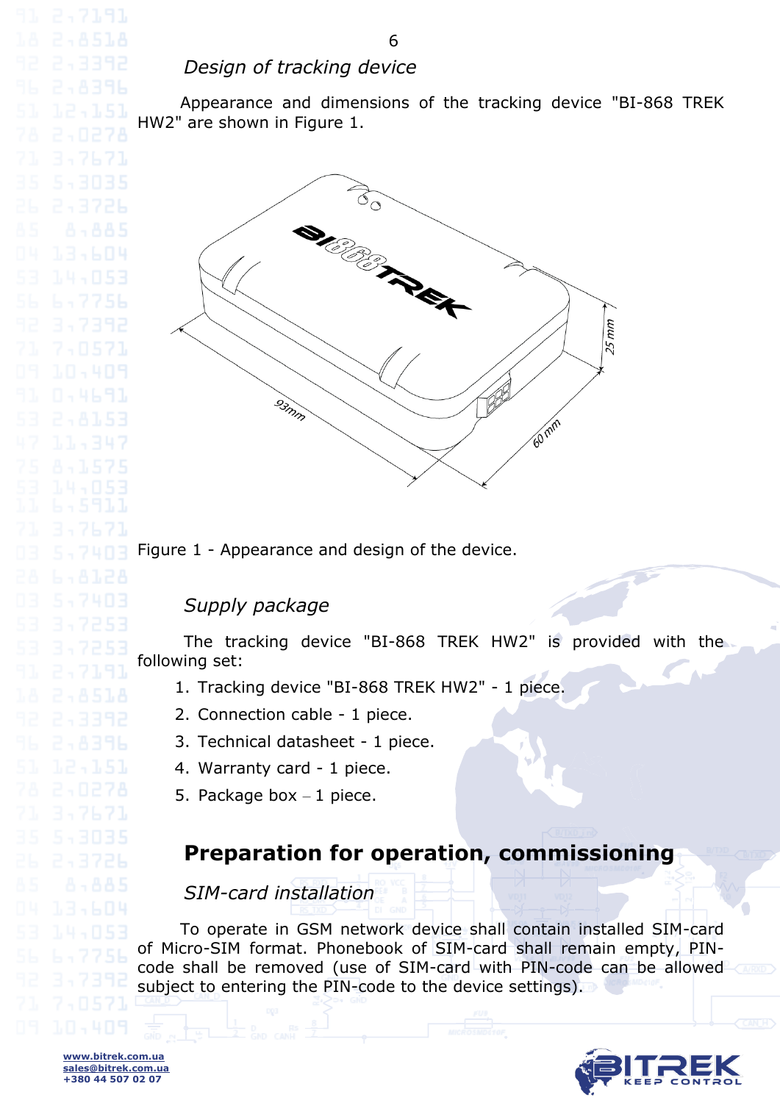#### *Design of tracking device*

<span id="page-5-0"></span>Appearance and dimensions of the tracking device "BI-868 TREK HW2" are shown in Figure 1.



Figure 1 - Appearance and design of the device.

#### *Supply package*

<span id="page-5-1"></span>The tracking device "BI-868 TREK HW2" is provided with the following set:

- 1. Tracking device "BI-868 TREK HW2" 1 piece.
- 2. Connection cable 1 piece.
- 3. Technical datasheet 1 piece.
- 4. Warranty card 1 piece.
- 5. Package box  $-1$  piece.

# **Preparation for operation, commissioning**

### *SIM-card installation*

<span id="page-5-3"></span><span id="page-5-2"></span>To operate in GSM network device shall contain installed SIM-card of Micro-SIM format. Phonebook of SIM-card shall remain empty, PINcode shall be removed (use of SIM-card with PIN-code can be allowed subject to entering the PIN-code to the device settings).



**www.bitrek.com.ua sales@bitrek.com.ua +380 44 507 02 07**

3,7671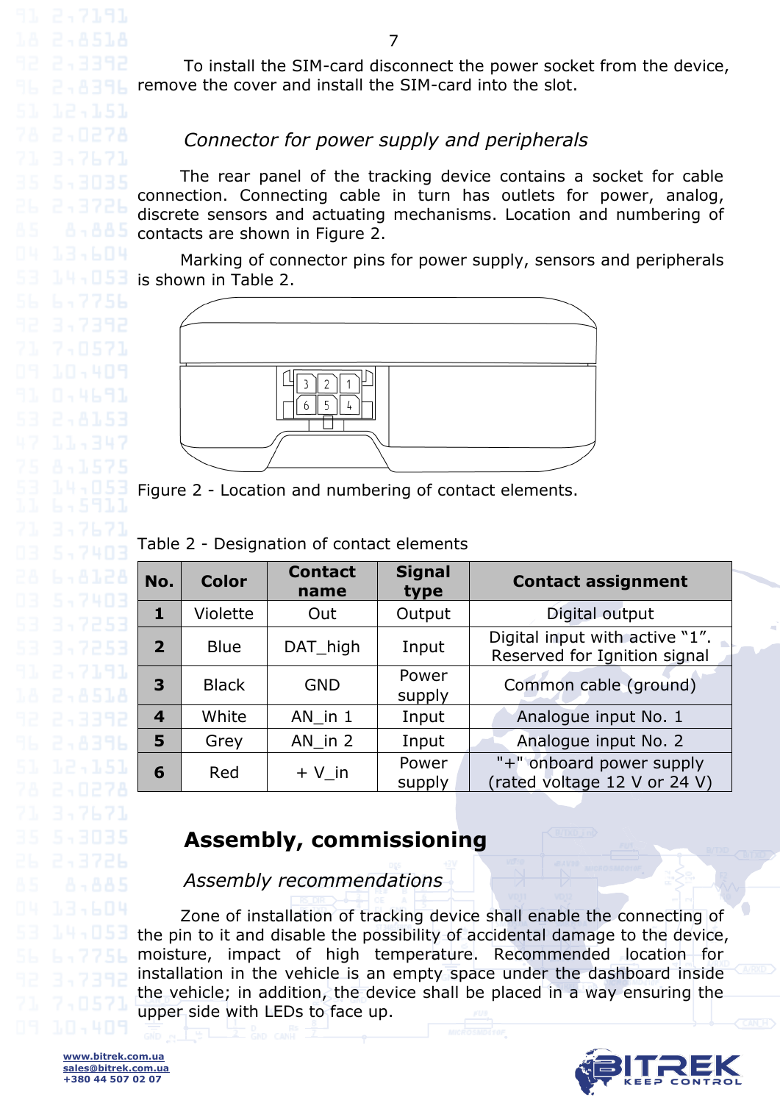To install the SIM-card disconnect the power socket from the device, remove the cover and install the SIM-card into the slot.

#### *Connector for power supply and peripherals*

The rear panel of the tracking device contains a socket for cable connection. Connecting cable in turn has outlets for power, analog, discrete sensors and actuating mechanisms. Location and numbering of contacts are shown in Figure 2.

Marking of connector pins for power supply, sensors and peripherals is shown in Table 2.



Figure 2 - Location and numbering of contact elements.

| No.            | <b>Color</b> | <b>Contact</b><br>name | <b>Signal</b><br>type | <b>Contact assignment</b>                                      |  |
|----------------|--------------|------------------------|-----------------------|----------------------------------------------------------------|--|
| 1              | Violette     | Out                    | Output                | Digital output                                                 |  |
| $\mathbf{2}$   | <b>Blue</b>  | DAT high               | Input                 | Digital input with active "1".<br>Reserved for Ignition signal |  |
| 3              | <b>Black</b> | <b>GND</b>             | Power<br>supply       | Common cable (ground)                                          |  |
| $\overline{4}$ | White        | AN in 1                | Input                 | Analogue input No. 1                                           |  |
| 5              | Grey         | AN in $2$              | Input                 | Analogue input No. 2                                           |  |
| 6              | Red          | $+V$ in                | Power<br>supply       | "+" onboard power supply<br>(rated voltage 12 V or 24 V)       |  |

### **Assembly, commissioning**

*Assembly recommendations*

<span id="page-6-2"></span><span id="page-6-1"></span>Zone of installation of tracking device shall enable the connecting of the pin to it and disable the possibility of accidental damage to the device, moisture, impact of high temperature. Recommended location for installation in the vehicle is an empty space under the dashboard inside the vehicle; in addition, the device shall be placed in a way ensuring the upper side with LEDs to face up.



<span id="page-6-0"></span>3,7671

7,8571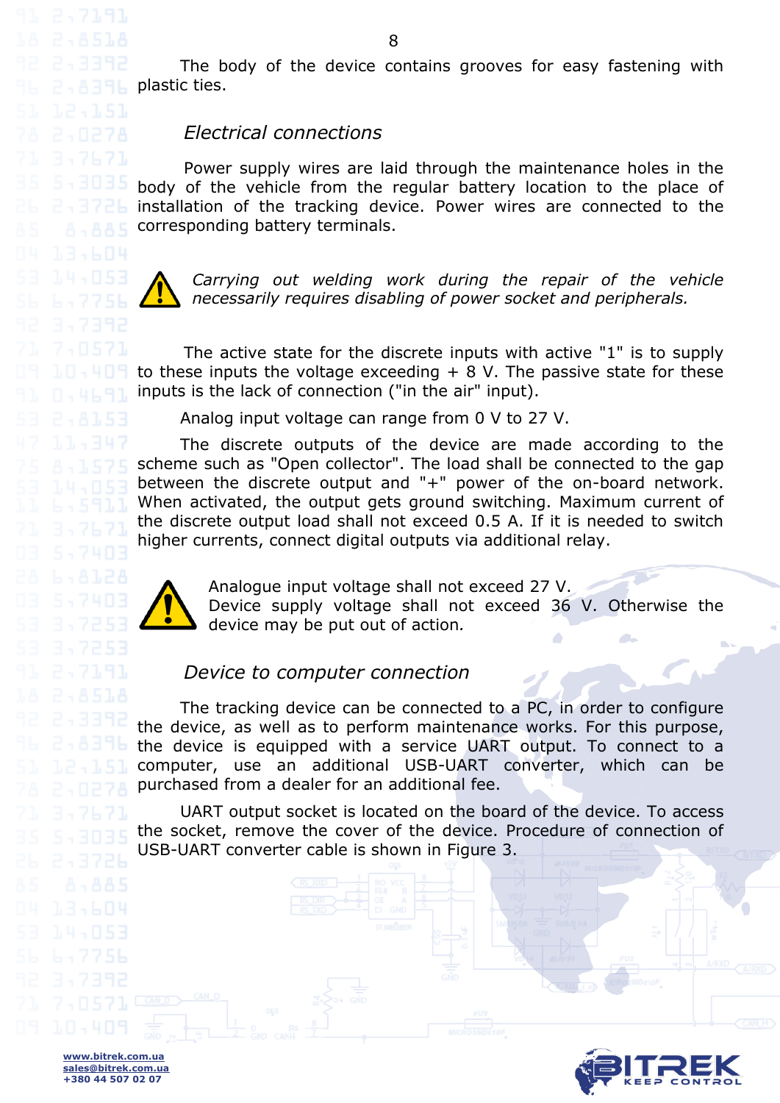The body of the device contains grooves for easy fastening with  $P - A$  and  $P$  plastic ties.

#### *Electrical connections*

Power supply wires are laid through the maintenance holes in the body of the vehicle from the regular battery location to the place of installation of the tracking device. Power wires are connected to the corresponding battery terminals.



<span id="page-7-0"></span>3,7671

*Carrying out welding work during the repair of the vehicle necessarily requires disabling of power socket and peripherals.*

The active state for the discrete inputs with active "1" is to supply to these inputs the voltage exceeding  $+ 8$  V. The passive state for these inputs is the lack of connection ("in the air" input).

Analog input voltage can range from 0 V to 27 V.

The discrete outputs of the device are made according to the scheme such as "Open collector". The load shall be connected to the gap between the discrete output and "+" power of the on-board network. When activated, the output gets ground switching. Maximum current of the discrete output load shall not exceed 0.5 A. If it is needed to switch higher currents, connect digital outputs via additional relay.



Analogue input voltage shall not exceed 27 V. Device supply voltage shall not exceed 36 V. Otherwise the device may be put out of action*.*

#### *Device to computer connection*

<span id="page-7-1"></span>The tracking device can be connected to a PC, in order to configure the device, as well as to perform maintenance works. For this purpose, the device is equipped with a service UART output. To connect to a computer, use an additional USB-UART converter, which can be purchased from a dealer for an additional fee.

UART output socket is located on the board of the device. To access the socket, remove the cover of the device. Procedure of connection of USB-UART converter cable is shown in Figure 3.

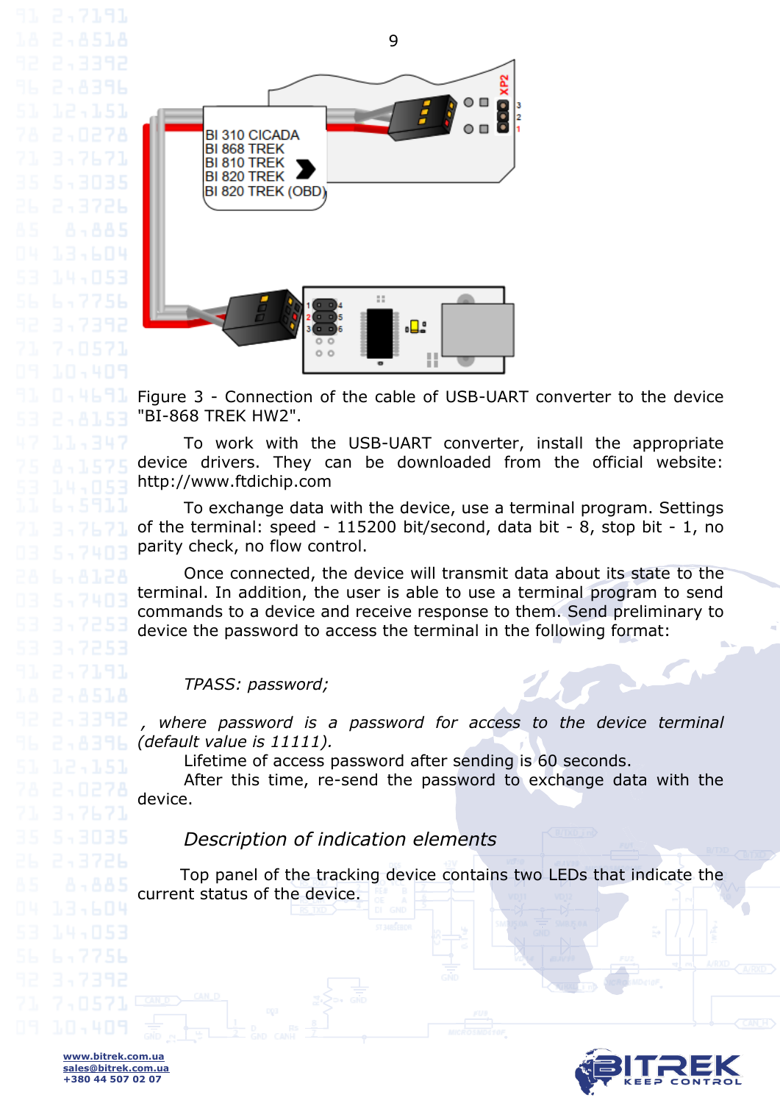3,7671



Figure 3 - Connection of the cable of USB-UART converter to the device "BI-868 TREK HW2".

To work with the USB-UART converter, install the appropriate device drivers. They can be downloaded from the official website: [http://www.ftdichip.com](http://www.ftdichip.com/)

To exchange data with the device, use a terminal program. Settings of the terminal: speed - 115200 bit/second, data bit - 8, stop bit - 1, no parity check, no flow control.

Once connected, the device will transmit data about its state to the terminal. In addition, the user is able to use a terminal program to send commands to a device and receive response to them. Send preliminary to device the password to access the terminal in the following format:

*TPASS: password;*

where password is a password for access to the device terminal *(default value is 11111).*

Lifetime of access password after sending is 60 seconds.

After this time, re-send the password to exchange data with the device.

*Description of indication elements*

<span id="page-8-0"></span>Top panel of the tracking device contains two LEDs that indicate the current status of the device.

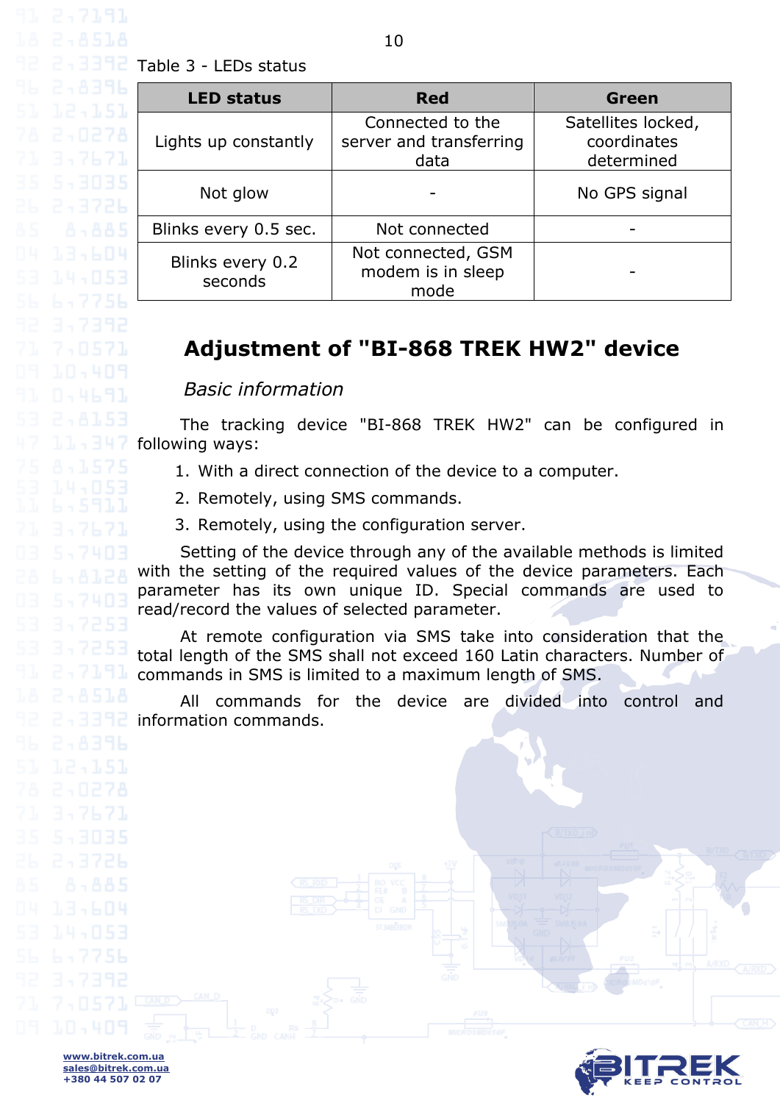$2 \cdot 3372$  Table 3 - LEDs status

3,7671

13,604

<span id="page-9-1"></span><span id="page-9-0"></span>7,0571

| <b>LED status</b>           | <b>Red</b>                                          | Green                                           |
|-----------------------------|-----------------------------------------------------|-------------------------------------------------|
| Lights up constantly        | Connected to the<br>server and transferring<br>data | Satellites locked,<br>coordinates<br>determined |
| Not glow                    |                                                     | No GPS signal                                   |
| Blinks every 0.5 sec.       | Not connected                                       |                                                 |
| Blinks every 0.2<br>seconds | Not connected, GSM<br>modem is in sleep<br>mode     |                                                 |

# **Adjustment of "BI-868 TREK HW2" device**

*Basic information*

The tracking device "BI-868 TREK HW2" can be configured in following ways:

- 1. With a direct connection of the device to a computer.
- 2. Remotely, using SMS commands.
- 3. Remotely, using the configuration server.

Setting of the device through any of the available methods is limited with the setting of the required values of the device parameters. Each parameter has its own unique ID. Special commands are used to read/record the values of selected parameter.

At remote configuration via SMS take into consideration that the total length of the SMS shall not exceed 160 Latin characters. Number of commands in SMS is limited to a maximum length of SMS.

All commands for the device are divided into control and information commands.

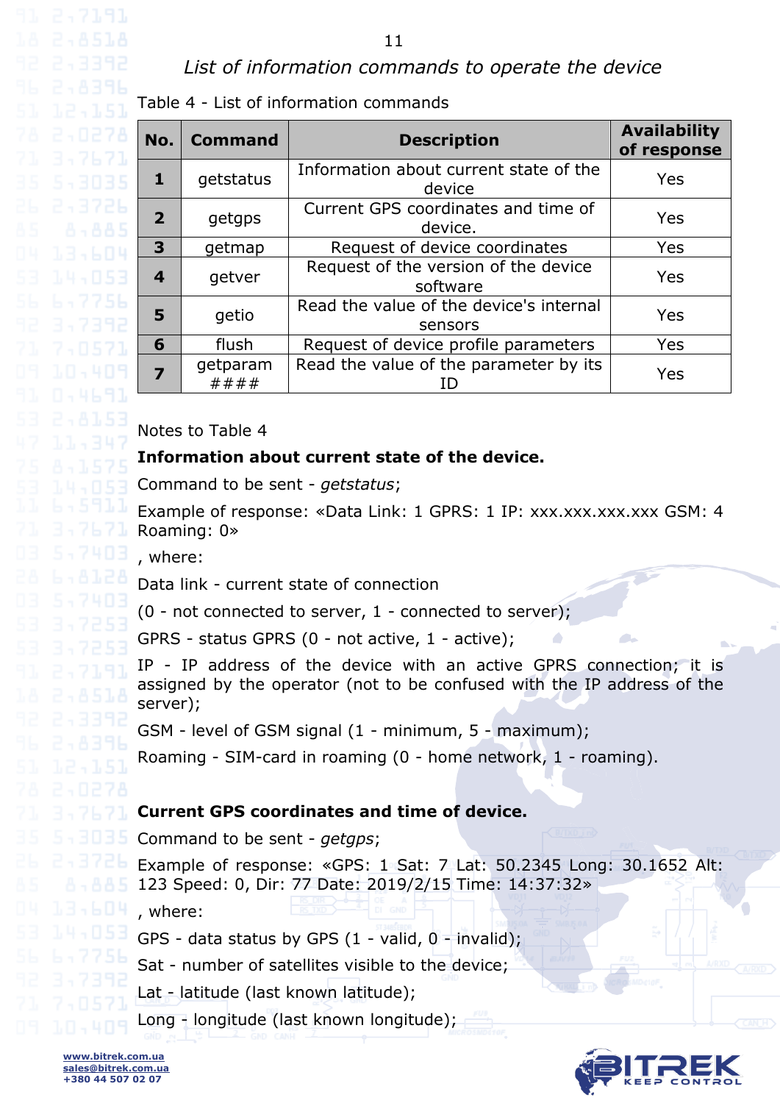#### *List of information commands to operate the device*

<span id="page-10-0"></span>Table 4 - List of information commands

| No.                     | <b>Command</b>   | <b>Description</b>                                 | <b>Availability</b><br>of response |
|-------------------------|------------------|----------------------------------------------------|------------------------------------|
| $\mathbf{1}$            | getstatus        | Information about current state of the<br>device   | Yes                                |
| $\overline{2}$          | getgps           | Current GPS coordinates and time of<br>device.     | Yes                                |
| $\overline{\mathbf{3}}$ | getmap           | Request of device coordinates                      | Yes                                |
| $\overline{\mathbf{4}}$ | getver           | Request of the version of the device<br>software   | Yes                                |
| 5                       | getio            | Read the value of the device's internal<br>sensors | Yes                                |
| 6                       | flush            | Request of device profile parameters               | Yes                                |
| 7                       | getparam<br>#### | Read the value of the parameter by its             | Yes                                |

Notes to Table 4

#### **Information about current state of the device.**

Command to be sent - *getstatus*;

Example of response: «Data Link: 1 GPRS: 1 IP: xxx.xxx.xxx.xxx GSM: 4 Roaming: 0»

, where:

Data link - current state of connection

(0 - not connected to server, 1 - connected to server);

GPRS - status GPRS (0 - not active, 1 - active);

IP - IP address of the device with an active GPRS connection; it is assigned by the operator (not to be confused with the IP address of the server);

GSM - level of GSM signal (1 - minimum, 5 - maximum);

Roaming - SIM-card in roaming (0 - home network, 1 - roaming).

#### **Current GPS coordinates and time of device.**

Command to be sent - *getgps*;

Example of response: «GPS: 1 Sat: 7 Lat: 50.2345 Long: 30.1652 Alt: 123 Speed: 0, Dir: 77 Date: 2019/2/15 Time: 14:37:32»

, where:

GPS - data status by GPS  $(1 - \text{valid}, 0 - \text{individual})$ ;

Sat - number of satellites visible to the device;

Lat - latitude (last known latitude);

Long - longitude (last known longitude);

13,604

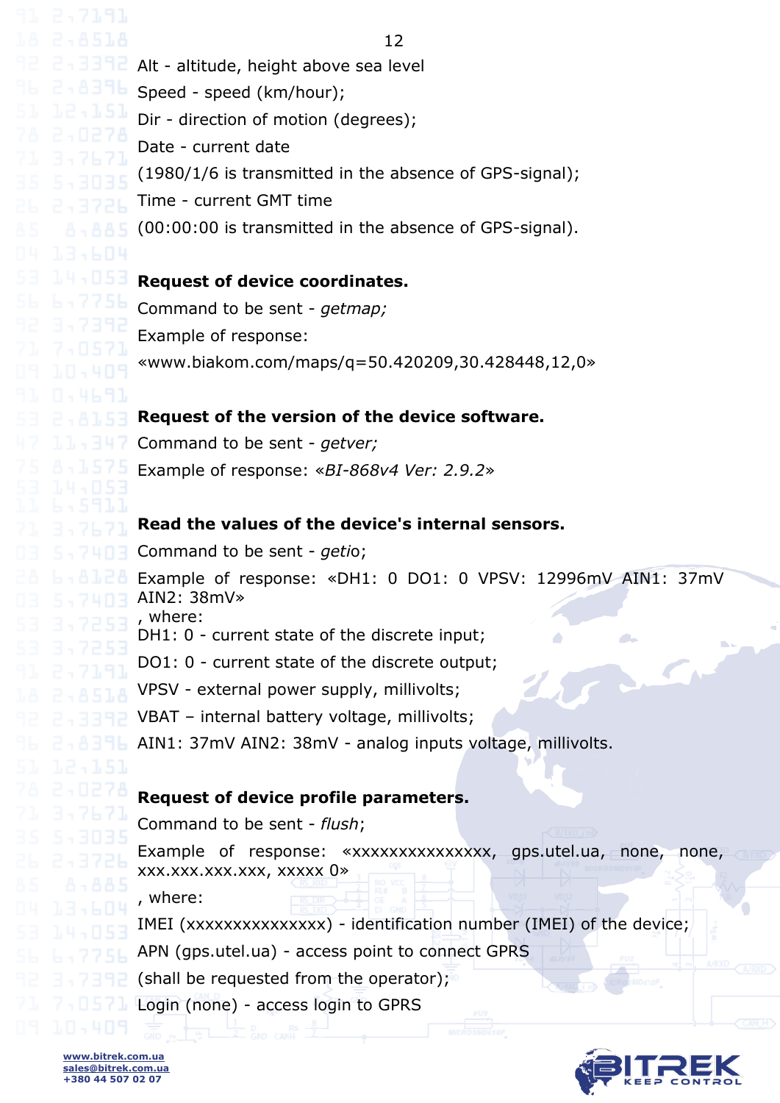12 Alt - altitude, height above sea level Speed - speed (km/hour); Dir - direction of motion (degrees); Date - current date (1980/1/6 is transmitted in the absence of GPS-signal); Time - current GMT time (00:00:00 is transmitted in the absence of GPS-signal). **Request of device coordinates.** Command to be sent - *getmap;* Example of response: «www.biakom.com/maps/q=50.420209,30.428448,12,0» **Request of the version of the device software.** Command to be sent - *getver;* Example of response: «*BI-868v4 Ver: 2.9.2*» **Read the values of the device's internal sensors.** Command to be sent - *geti*o; Example of response: «DH1: 0 DO1: 0 VPSV: 12996mV AIN1: 37mV AIN2: 38mV» , where: DH1: 0 - current state of the discrete input; DO1: 0 - current state of the discrete output; VPSV - external power supply, millivolts; VBAT *–* internal battery voltage, millivolts; AIN1: 37mV AIN2: 38mV - analog inputs voltage, millivolts. **Request of device profile parameters.** Command to be sent - *flush*; Example of response: «xxxxxxxxxxxxxxxx, gps.utel.ua, none, none, xxx.xxx.xxx.xxx, xxxxx 0» , where: IMEI (xxxxxxxxxxxxxxxx) - identification number (IMEI) of the device; APN (gps.utel.ua) - access point to connect GPRS (shall be requested from the operator); Login (none) - access login to GPRS

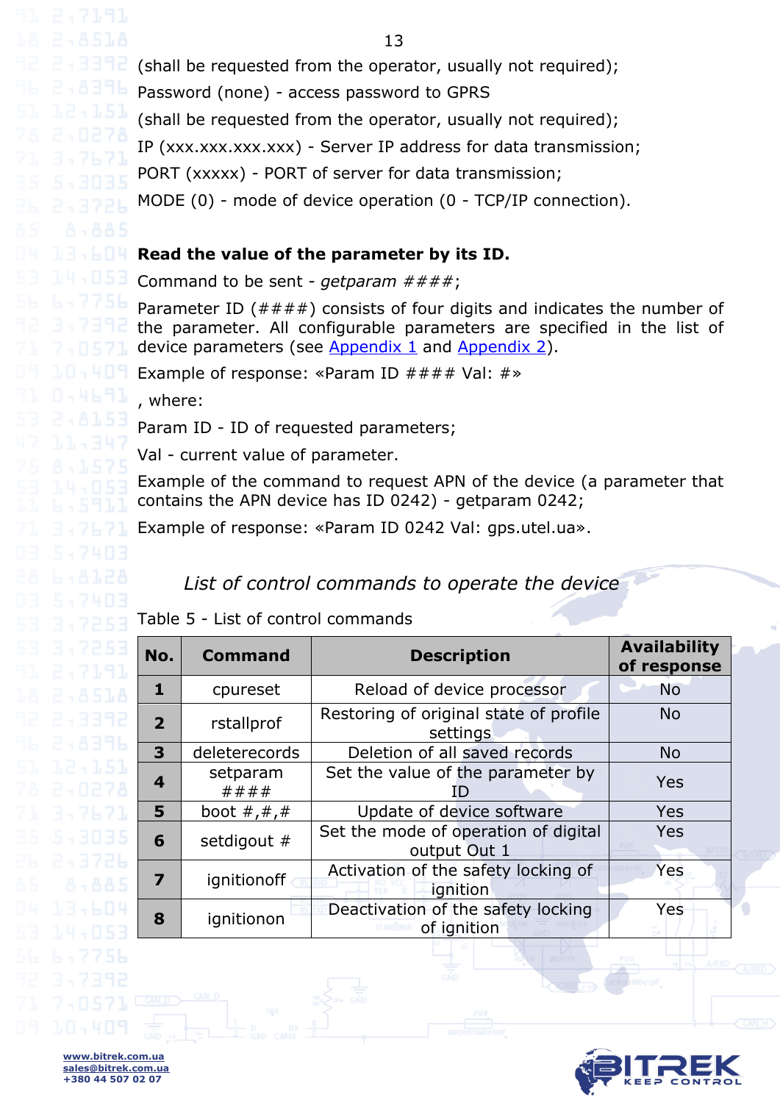(shall be requested from the operator, usually not required);

Password (none) - access password to GPRS

(shall be requested from the operator, usually not required);

IP (xxx.xxx.xxx.xxx) - Server IP address for data transmission;

PORT (xxxxx) - PORT of server for data transmission;

MODE (0) - mode of device operation (0 - TCP/IP connection).

#### **Read the value of the parameter by its ID.**

Command to be sent - *getparam ####*;

Parameter ID  $(\#\#\#\#)$  consists of four digits and indicates the number of the parameter. All configurable parameters are specified in the list of device parameters (see  $\Delta$ ppendix  $1$  and  $\Delta$ ppendix  $2$ ).

Example of response: «Param ID #### Val: #»

, where:

Param ID - ID of requested parameters;

Val - current value of parameter.

Example of the command to request APN of the device (a parameter that contains the APN device has ID 0242) - getparam 0242;

Example of response: «Param ID 0242 Val: gps.utel.ua».

### *List of control commands to operate the device*

<span id="page-12-0"></span>Table 5 - List of control commands

| No.                     | <b>Command</b>                                                   | <b>Description</b>                                   | <b>Availability</b><br>of response |
|-------------------------|------------------------------------------------------------------|------------------------------------------------------|------------------------------------|
| 1                       | cpureset                                                         | Reload of device processor                           | <b>No</b>                          |
| $\overline{2}$          | Restoring of original state of profile<br>rstallprof<br>settings |                                                      | <b>No</b>                          |
| $\overline{\mathbf{3}}$ | deleterecords                                                    | <b>No</b>                                            |                                    |
| 4                       | setparam<br>####                                                 | Set the value of the parameter by                    | Yes                                |
| 5                       | Update of device software<br>boot $\#$ , $\#$ , $\#$             |                                                      | Yes                                |
| 6                       | setdigout #                                                      | Set the mode of operation of digital<br>output Out 1 | Yes                                |
| 7                       | ignitionoff                                                      | Activation of the safety locking of<br>ignition      | Yes                                |
| 8                       | ignitionon                                                       | Deactivation of the safety locking<br>of ignition    | Yes                                |

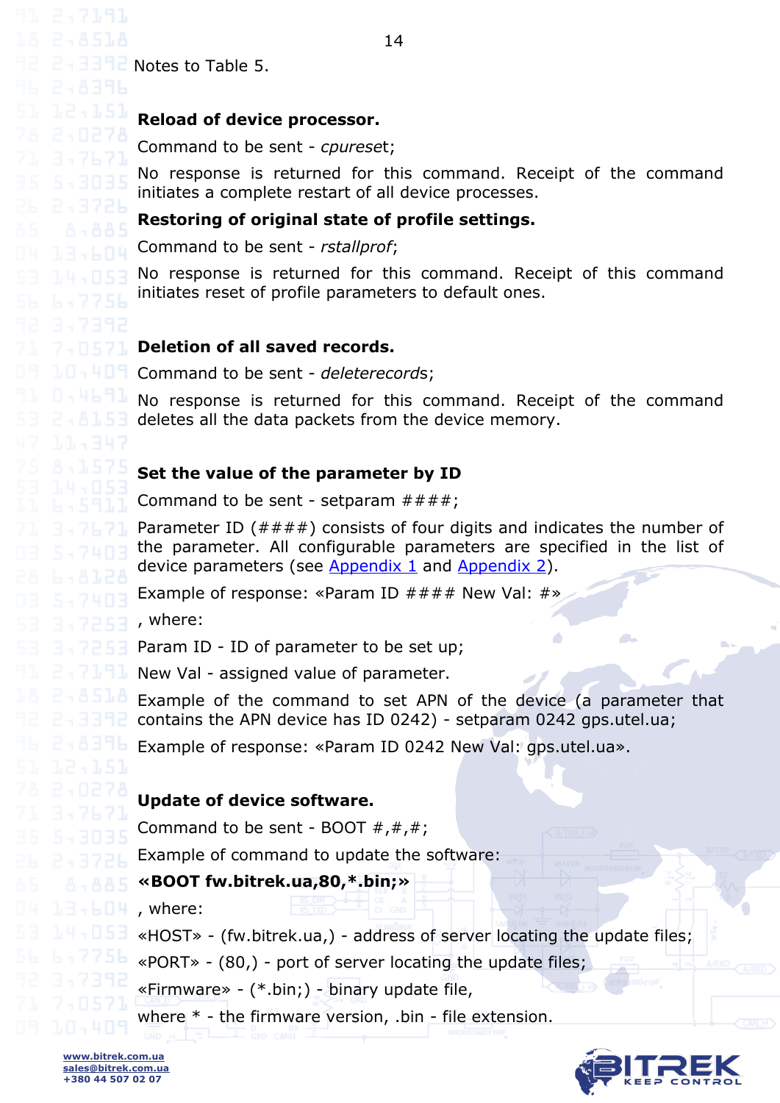Notes to Table 5.

#### **Reload of device processor.**

Command to be sent - *cpurese*t;

No response is returned for this command. Receipt of the command initiates a complete restart of all device processes.

#### **Restoring of original state of profile settings.**

Command to be sent - *rstallprof*;

No response is returned for this command. Receipt of this command initiates reset of profile parameters to default ones.

#### **Deletion of all saved records.**

Command to be sent - *deleterecord*s;

No response is returned for this command. Receipt of the command deletes all the data packets from the device memory.

#### **Set the value of the parameter by ID**

Command to be sent - setparam  $\# \# \#$ ;

Parameter ID  $(\#\#\#\)$  consists of four digits and indicates the number of the parameter. All configurable parameters are specified in the list of device parameters (see [Appendix 1](#page-21-0) and [Appendix 2\)](#page-27-0).

Example of response: «Param ID  $\# \# \#$  New Val:  $\#$ »

, where:

Param ID - ID of parameter to be set up;

New Val - assigned value of parameter.

Example of the command to set APN of the device (a parameter that contains the APN device has ID 0242) - setparam 0242 gps.utel.ua;

Example of response: «Param ID 0242 New Val: gps.utel.ua».

#### **Update of device software.**

Command to be sent - BOOT  $#$ ,  $#$ ,  $#$ ;

Example of command to update the software:

#### **«BOOT fw.bitrek.ua,80,\*.bin;»**

, where:

«HOST» - (fw.bitrek.ua,) - address of server locating the update files;

«PORT» - (80,) - port of server locating the update files;

«Firmware» - (\*.bin;) - binary update file,

where \* - the firmware version, .bin - file extension.

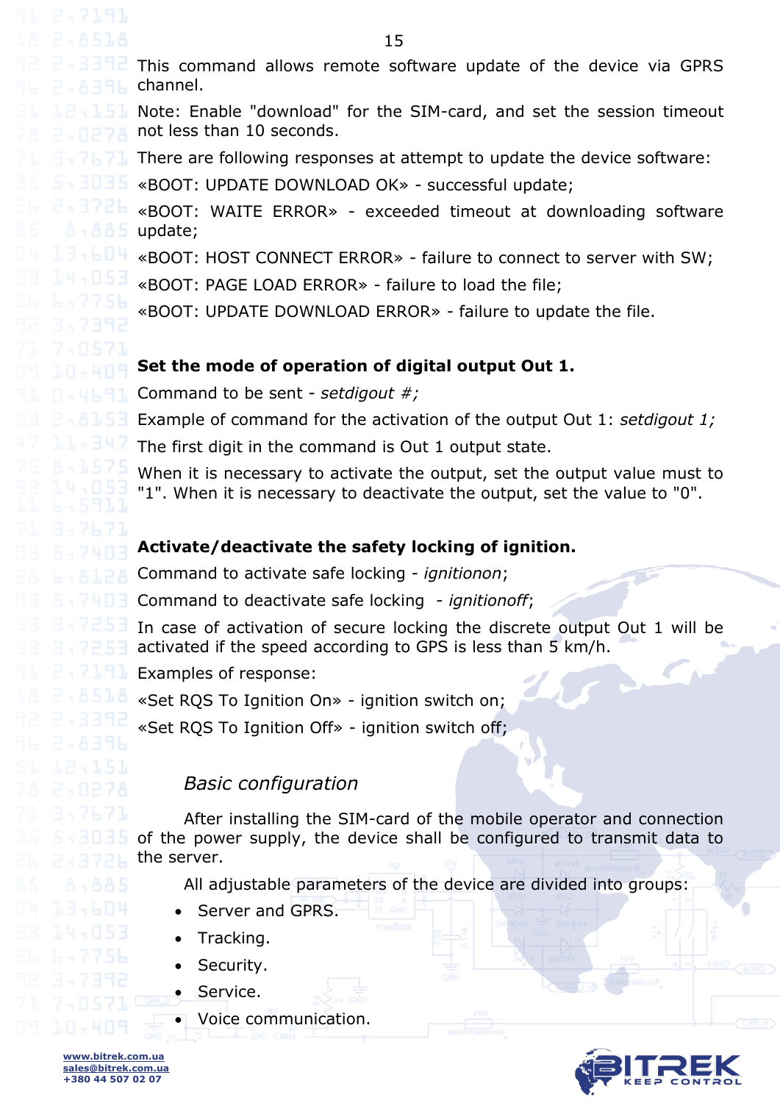<span id="page-14-0"></span>15 This command allows remote software update of the device via GPRS channel. Note: Enable "download" for the SIM-card, and set the session timeout not less than 10 seconds. There are following responses at attempt to update the device software: «BOOT: UPDATE DOWNLOAD OK» - successful update; «BOOT: WAITE ERROR» - exceeded timeout at downloading software update; «BOOT: HOST CONNECT ERROR» - failure to connect to server with SW; «BOOT: PAGE LOAD ERROR» - failure to load the file; «BOOT: UPDATE DOWNLOAD ERROR» - failure to update the file. **Set the mode of operation of digital output Out 1.** Command to be sent - *setdigout #;* Example of command for the activation of the output Out 1: *setdigout 1;* The first digit in the command is Out 1 output state. When it is necessary to activate the output, set the output value must to "1". When it is necessary to deactivate the output, set the value to "0". **Activate/deactivate the safety locking of ignition.** Command to activate safe locking - *ignitionon*; Command to deactivate safe locking - *ignitionoff*; In case of activation of secure locking the discrete output Out 1 will be activated if the speed according to GPS is less than 5 km/h. Examples of response: «Set RQS To Ignition On» - ignition switch on; «Set RQS To Ignition Off» - ignition switch off; *Basic configuration* After installing the SIM-card of the mobile operator and connection of the power supply, the device shall be configured to transmit data to the server. All adjustable parameters of the device are divided into groups: Server and GPRS. Tracking. Security. Service. Voice communication.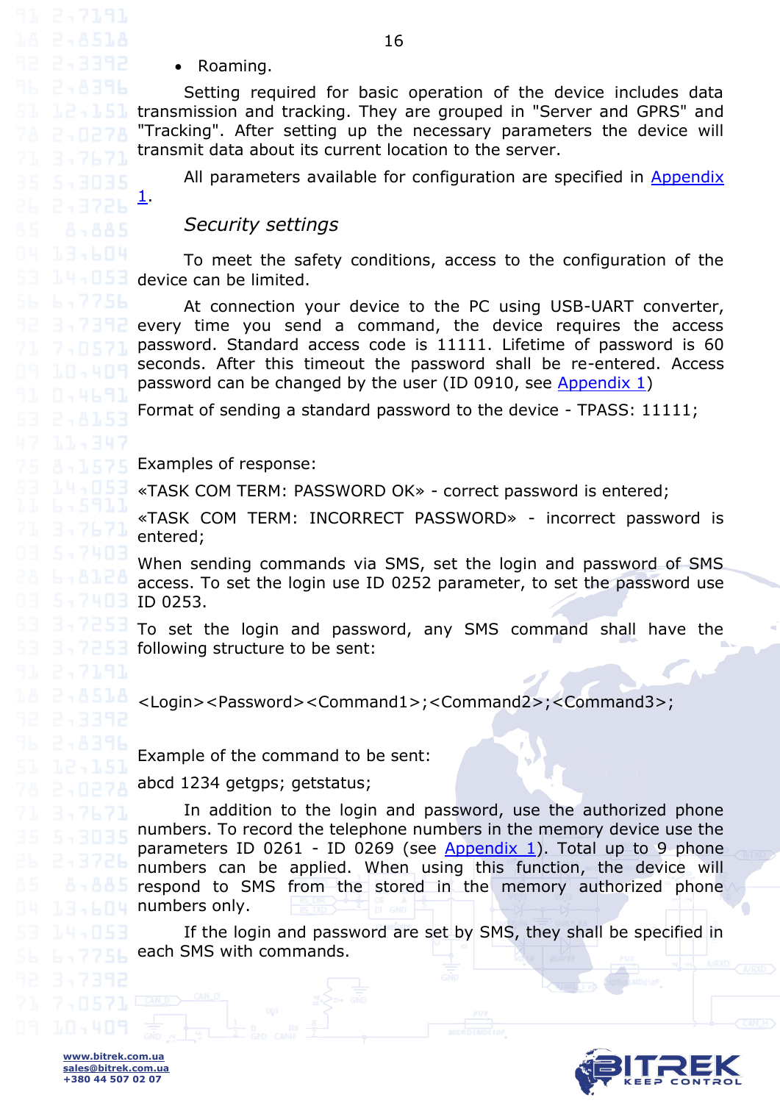Roaming.

[1.](#page-21-0)

Setting required for basic operation of the device includes data transmission and tracking. They are grouped in "Server and GPRS" and "Tracking". After setting up the necessary parameters the device will transmit data about its current location to the server.

All parameters available for configuration are specified in [Appendix](#page-21-0) 

#### *Security settings*

<span id="page-15-0"></span>To meet the safety conditions, access to the configuration of the device can be limited.

At connection your device to the PC using USB-UART converter, every time you send a command, the device requires the access password. Standard access code is 11111. Lifetime of password is 60 seconds. After this timeout the password shall be re-entered. Access password can be changed by the user (ID 0910, see [Appendix 1\)](#page-21-0)

Format of sending a standard password to the device - TPASS: 11111;

Examples of response:

«TASK COM TERM: PASSWORD OK» - correct password is entered;

«TASK COM TERM: INCORRECT PASSWORD» - incorrect password is entered;

When sending commands via SMS, set the login and password of SMS access. To set the login use ID 0252 parameter, to set the password use ID 0253.

To set the login and password, any SMS command shall have the following structure to be sent:

<Login><Password><Command1>;<Command2>;<Command3>;

Example of the command to be sent:

abcd 1234 getgps; getstatus;

In addition to the login and password, use the authorized phone numbers. To record the telephone numbers in the memory device use the parameters ID 0261 - ID 0269 (see [Appendix 1\)](#page-21-0). Total up to 9 phone numbers can be applied. When using this function, the device will respond to SMS from the stored in the memory authorized phone numbers only.

If the login and password are set by SMS, they shall be specified in each SMS with commands.

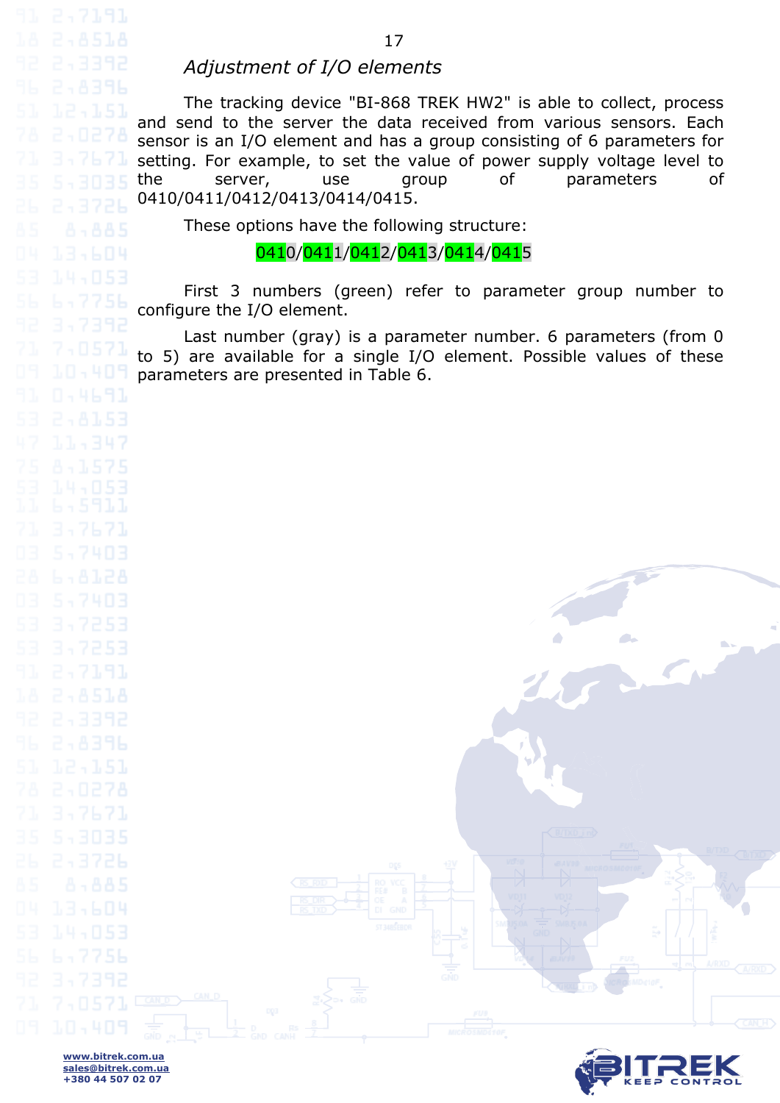#### *Adjustment of I/O elements*

<span id="page-16-0"></span>The tracking device "BI-868 TREK HW2" is able to collect, process and send to the server the data received from various sensors. Each sensor is an I/O element and has a group consisting of 6 parameters for setting. For example, to set the value of power supply voltage level to the server, use group of parameters of 0410/0411/0412/0413/0414/0415.

These options have the following structure:

0410/0411/0412/0413/0414/0415

First 3 numbers (green) refer to parameter group number to configure the I/O element.

Last number (gray) is a parameter number. 6 parameters (from 0 to 5) are available for a single I/O element. Possible values of these parameters are presented in Table 6.

**www.bitrek.com.ua sales@bitrek.com.ua +380 44 507 02 07**

7,0571

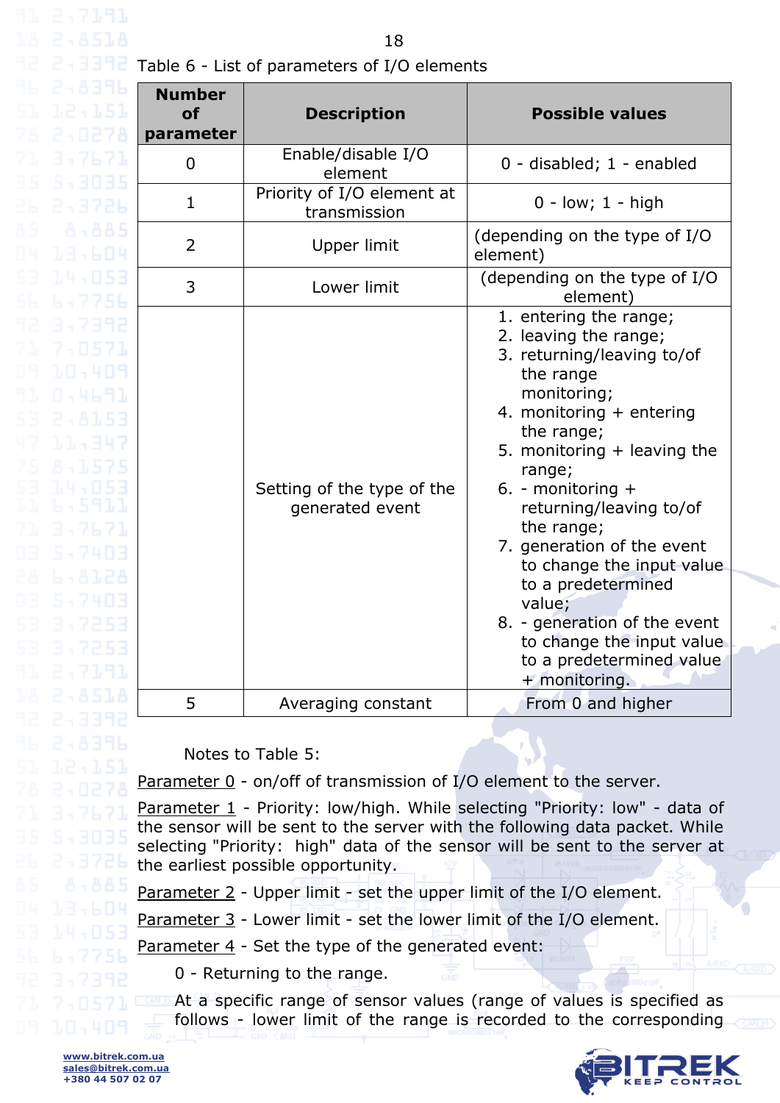18

Table 6 - List of parameters of I/O elements

| Β                                            | <b>Number</b><br><b>of</b><br>parameter | <b>Description</b>                            | <b>Possible values</b>                                                                                                                                                                                                                                                                                                                                                                                                                                              |
|----------------------------------------------|-----------------------------------------|-----------------------------------------------|---------------------------------------------------------------------------------------------------------------------------------------------------------------------------------------------------------------------------------------------------------------------------------------------------------------------------------------------------------------------------------------------------------------------------------------------------------------------|
| 15                                           | $\mathbf 0$                             | Enable/disable I/O<br>element                 | 0 - disabled; 1 - enabled                                                                                                                                                                                                                                                                                                                                                                                                                                           |
| Ъ                                            | $\mathbf{1}$                            | Priority of I/O element at<br>transmission    | $0 - low$ ; $1 - high$                                                                                                                                                                                                                                                                                                                                                                                                                                              |
| 15<br>ĮЧ                                     | 2                                       | Upper limit                                   | (depending on the type of I/O<br>element)                                                                                                                                                                                                                                                                                                                                                                                                                           |
| Э<br>ìЬ                                      | 3                                       | Lower limit                                   | (depending on the type of I/O<br>element)                                                                                                                                                                                                                                                                                                                                                                                                                           |
| ΙZ<br>19<br>Э<br>FT<br>Sand<br>Е<br>ł.<br>13 |                                         | Setting of the type of the<br>generated event | 1. entering the range;<br>2. leaving the range;<br>3. returning/leaving to/of<br>the range<br>monitoring;<br>4. monitoring + entering<br>the range;<br>5. monitoring $+$ leaving the<br>range;<br>6. - monitoring $+$<br>returning/leaving to/of<br>the range;<br>7. generation of the event<br>to change the input value<br>to a predetermined<br>value;<br>8. - generation of the event<br>to change the input value<br>to a predetermined value<br>+ monitoring. |
| ٠δ                                           | 5                                       | Averaging constant                            | From 0 and higher                                                                                                                                                                                                                                                                                                                                                                                                                                                   |

Notes to Table 5:

Parameter 0 - on/off of transmission of I/O element to the server.

Parameter 1 - Priority: low/high. While selecting "Priority: low" - data of the sensor will be sent to the server with the following data packet. While selecting "Priority: high" data of the sensor will be sent to the server at the earliest possible opportunity.

Parameter 2 - Upper limit - set the upper limit of the I/O element.

Parameter 3 - Lower limit - set the lower limit of the I/O element.

Parameter 4 - Set the type of the generated event:

0 - Returning to the range.

At a specific range of sensor values (range of values is specified as follows - lower limit of the range is recorded to the corresponding

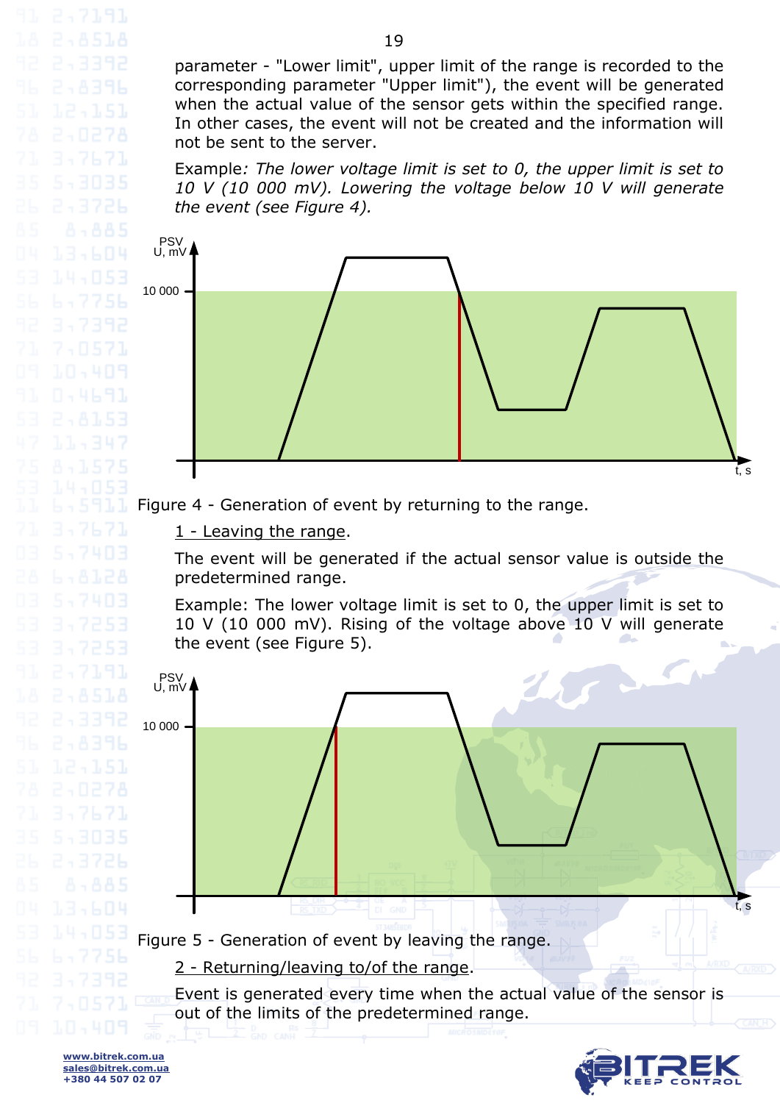parameter - "Lower limit", upper limit of the range is recorded to the corresponding parameter "Upper limit"), the event will be generated when the actual value of the sensor gets within the specified range. In other cases, the event will not be created and the information will not be sent to the server.

Example*: The lower voltage limit is set to 0, the upper limit is set to 10 V (10 000 mV). Lowering the voltage below 10 V will generate the event (see Figure 4).*



Figure 4 - Generation of event by returning to the range.

1 - Leaving the range.

The event will be generated if the actual sensor value is outside the predetermined range.

Example: The lower voltage limit is set to 0, the upper limit is set to 10 V (10 000 mV). Rising of the voltage above 10 V will generate the event (see Figure 5).



3,7671

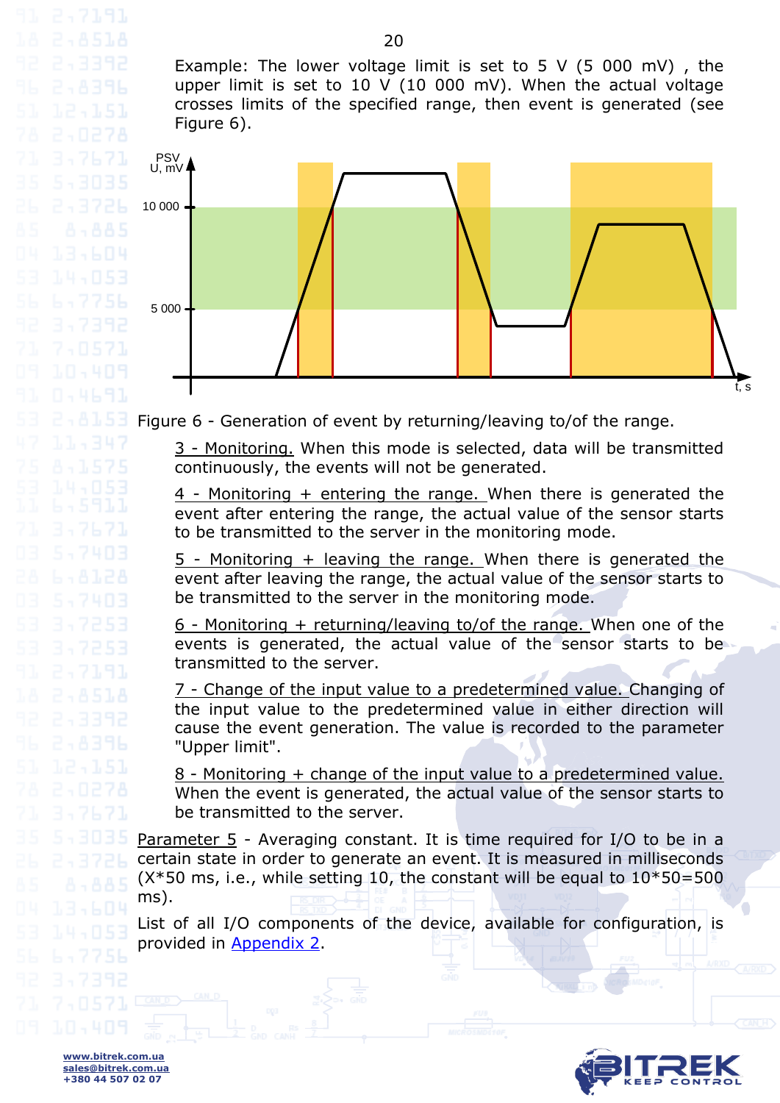Example: The lower voltage limit is set to 5 V (5 000 mV), the upper limit is set to 10 V (10 000 mV). When the actual voltage crosses limits of the specified range, then event is generated (see Figure 6).



Figure 6 - Generation of event by returning/leaving to/of the range.

3 - Monitoring. When this mode is selected, data will be transmitted continuously, the events will not be generated.

4 - Monitoring + entering the range. When there is generated the event after entering the range, the actual value of the sensor starts to be transmitted to the server in the monitoring mode.

5 - Monitoring + leaving the range. When there is generated the event after leaving the range, the actual value of the sensor starts to be transmitted to the server in the monitoring mode.

6 - Monitoring + returning/leaving to/of the range. When one of the events is generated, the actual value of the sensor starts to be transmitted to the server.

7 - Change of the input value to a predetermined value. Changing of the input value to the predetermined value in either direction will cause the event generation. The value is recorded to the parameter "Upper limit".

8 - Monitoring + change of the input value to a predetermined value. When the event is generated, the actual value of the sensor starts to be transmitted to the server.

Parameter 5 - Averaging constant. It is time required for I/O to be in a certain state in order to generate an event. It is measured in milliseconds  $(X*50 \text{ ms}, i.e., while setting 10, the constant will be equal to  $10*50=500$$ ms).

List of all I/O components of the device, available for configuration, is provided in [Appendix 2.](#page-27-0)



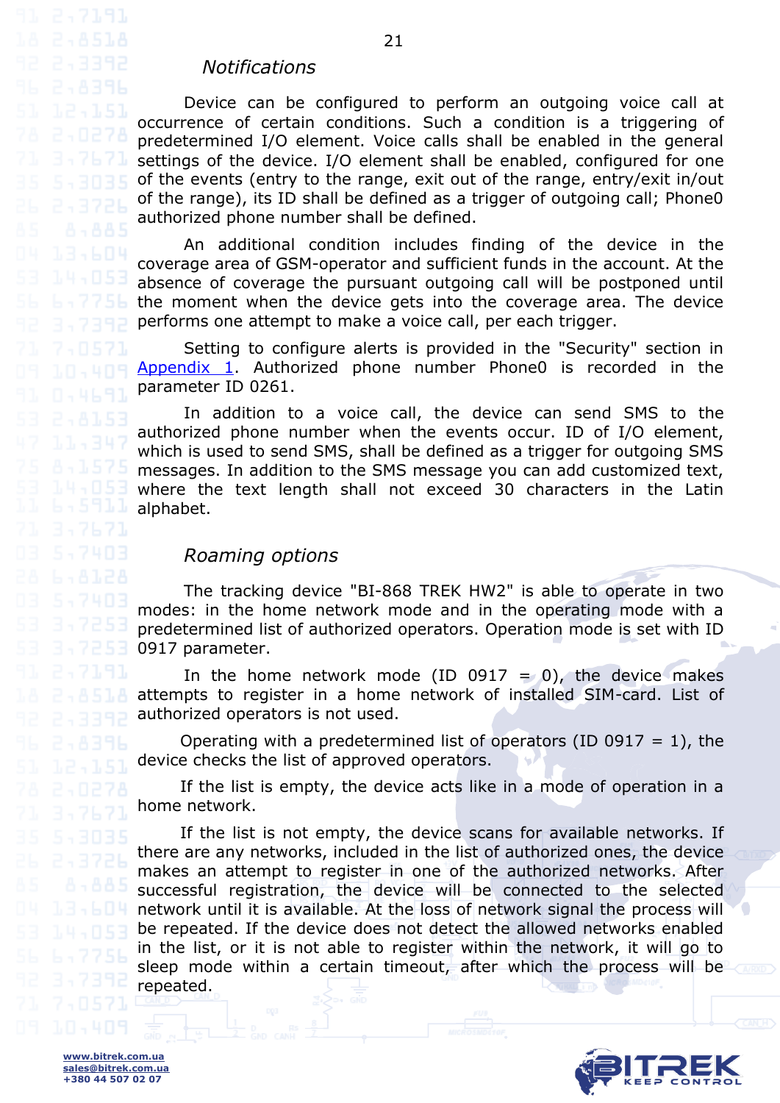#### <span id="page-20-0"></span>*Notifications*

Device can be configured to perform an outgoing voice call at occurrence of certain conditions. Such a condition is a triggering of predetermined I/O element. Voice calls shall be enabled in the general settings of the device. I/O element shall be enabled, configured for one of the events (entry to the range, exit out of the range, entry/exit in/out of the range), its ID shall be defined as a trigger of outgoing call; Phone0 authorized phone number shall be defined.

21

An additional condition includes finding of the device in the coverage area of GSM-operator and sufficient funds in the account. At the absence of coverage the pursuant outgoing call will be postponed until the moment when the device gets into the coverage area. The device performs one attempt to make a voice call, per each trigger.

Setting to configure alerts is provided in the "Security" section in [Appendix 1.](#page-21-0) Authorized phone number Phone0 is recorded in the parameter ID 0261.

In addition to a voice call, the device can send SMS to the authorized phone number when the events occur. ID of I/O element, which is used to send SMS, shall be defined as a trigger for outgoing SMS messages. In addition to the SMS message you can add customized text, where the text length shall not exceed 30 characters in the Latin alphabet.

#### *Roaming options*

<span id="page-20-1"></span>The tracking device "BI-868 TREK HW2" is able to operate in two modes: in the home network mode and in the operating mode with a predetermined list of authorized operators. Operation mode is set with ID 0917 parameter.

In the home network mode (ID 0917 = 0), the device makes attempts to register in a home network of installed SIM-card. List of authorized operators is not used.

Operating with a predetermined list of operators (ID 0917 = 1), the device checks the list of approved operators.

If the list is empty, the device acts like in a mode of operation in a home network.

If the list is not empty, the device scans for available networks. If there are any networks, included in the list of authorized ones, the device makes an attempt to register in one of the authorized networks. After successful registration, the device will be connected to the selected network until it is available. At the loss of network signal the process will be repeated. If the device does not detect the allowed networks enabled in the list, or it is not able to register within the network, it will go to sleep mode within a certain timeout, after which the process will be repeated.

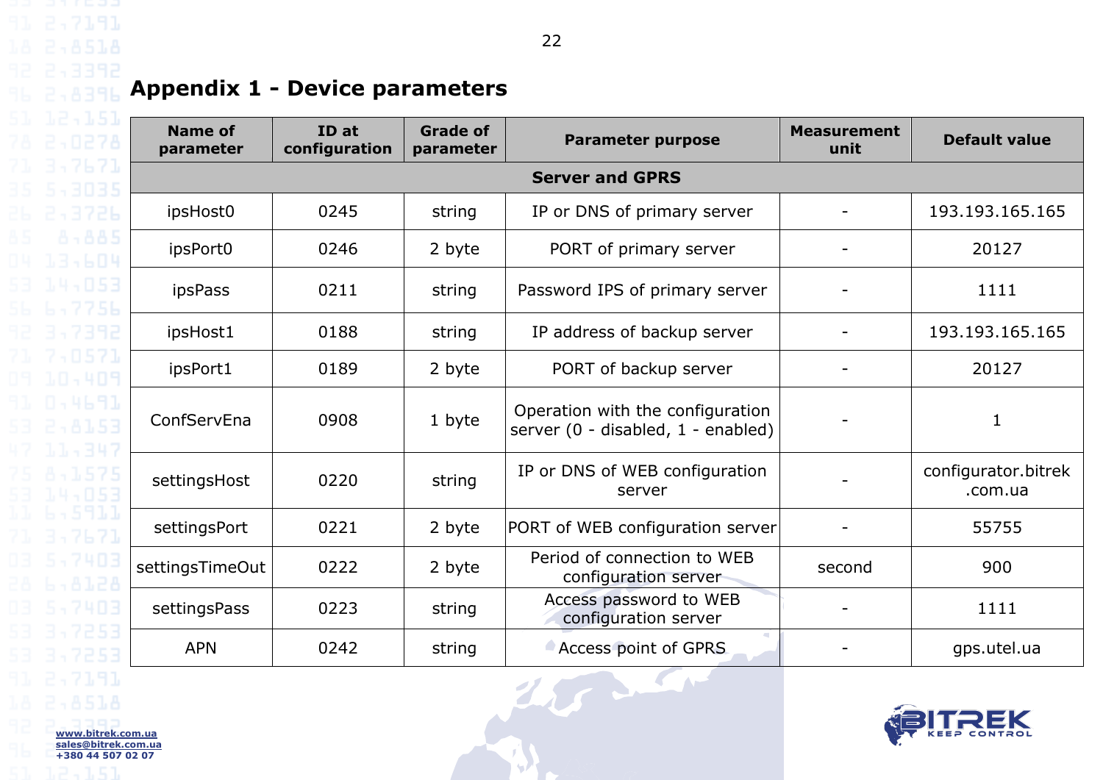## **Appendix 1 - Device parameters**

<span id="page-21-0"></span>

| <b>Name of</b><br>parameter | ID at<br>configuration | <b>Grade of</b><br>parameter | <b>Parameter purpose</b>                                               | <b>Measurement</b><br>unit | <b>Default value</b>           |  |  |  |  |
|-----------------------------|------------------------|------------------------------|------------------------------------------------------------------------|----------------------------|--------------------------------|--|--|--|--|
|                             | <b>Server and GPRS</b> |                              |                                                                        |                            |                                |  |  |  |  |
| ipsHost0                    | 0245                   | string                       | IP or DNS of primary server                                            |                            | 193.193.165.165                |  |  |  |  |
| ipsPort0                    | 0246                   | 2 byte                       | PORT of primary server                                                 |                            | 20127                          |  |  |  |  |
| ipsPass                     | 0211                   | string                       | Password IPS of primary server                                         |                            | 1111                           |  |  |  |  |
| ipsHost1                    | 0188                   | string                       | IP address of backup server                                            |                            | 193.193.165.165                |  |  |  |  |
| ipsPort1                    | 0189                   | 2 byte                       | PORT of backup server                                                  |                            | 20127                          |  |  |  |  |
| ConfServEna                 | 0908                   | 1 byte                       | Operation with the configuration<br>server (0 - disabled, 1 - enabled) |                            | 1                              |  |  |  |  |
| settingsHost                | 0220                   | string                       | IP or DNS of WEB configuration<br>server                               |                            | configurator.bitrek<br>.com.ua |  |  |  |  |
| settingsPort                | 0221                   | 2 byte                       | PORT of WEB configuration server                                       |                            | 55755                          |  |  |  |  |
| settingsTimeOut             | 0222                   | 2 byte                       | Period of connection to WEB<br>configuration server                    | second                     | 900                            |  |  |  |  |
| settingsPass                | 0223                   | string                       | Access password to WEB<br>configuration server                         |                            | 1111                           |  |  |  |  |
| <b>APN</b>                  | 0242                   | string                       | Access point of GPRS                                                   |                            | gps.utel.ua                    |  |  |  |  |

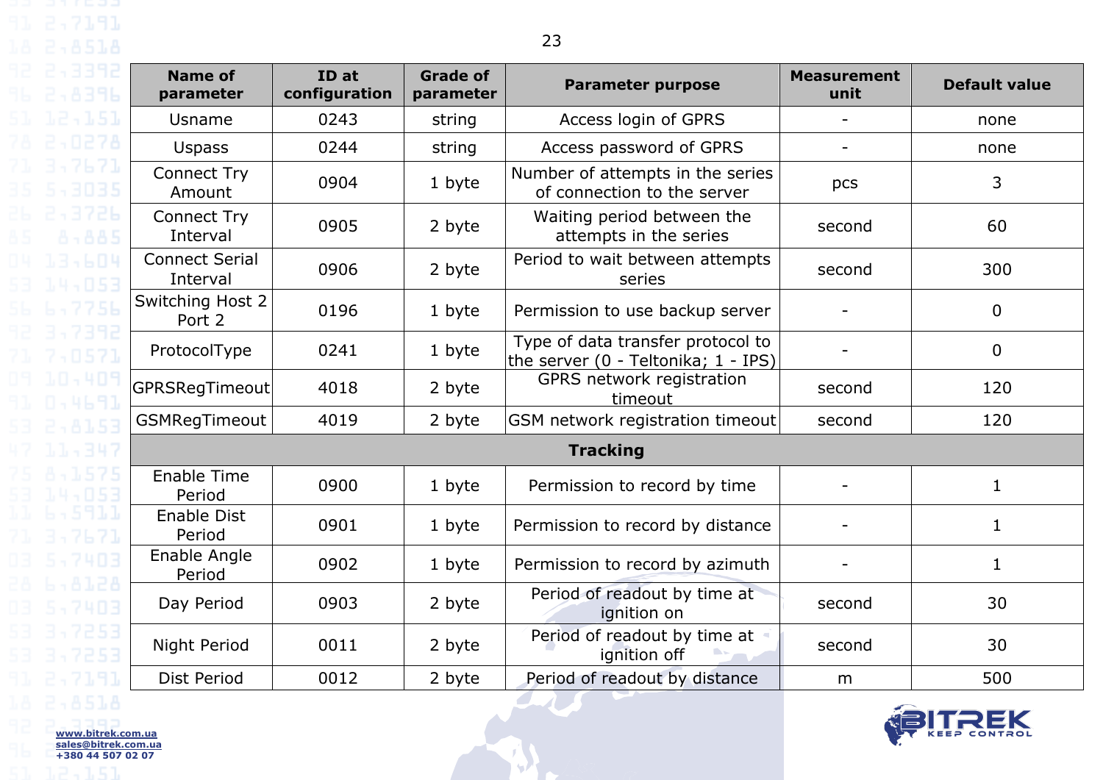| <b>Name of</b><br>parameter       | ID at<br>configuration | <b>Grade of</b><br>parameter | <b>Parameter purpose</b>                                                 | <b>Measurement</b><br>unit | <b>Default value</b> |
|-----------------------------------|------------------------|------------------------------|--------------------------------------------------------------------------|----------------------------|----------------------|
| Usname                            | 0243                   | string                       | Access login of GPRS                                                     | $\overline{\phantom{a}}$   | none                 |
| <b>Uspass</b>                     | 0244                   | string                       | Access password of GPRS                                                  |                            | none                 |
| <b>Connect Try</b><br>Amount      | 0904                   | 1 byte                       | Number of attempts in the series<br>of connection to the server          | pcs                        | 3                    |
| <b>Connect Try</b><br>Interval    | 0905                   | 2 byte                       | Waiting period between the<br>attempts in the series                     | second                     | 60                   |
| <b>Connect Serial</b><br>Interval | 0906                   | 2 byte                       | Period to wait between attempts<br>series                                | second                     | 300                  |
| Switching Host 2<br>Port 2        | 0196                   | 1 byte                       | Permission to use backup server                                          | $\overline{\phantom{a}}$   | $\mathbf 0$          |
| ProtocolType                      | 0241                   | 1 byte                       | Type of data transfer protocol to<br>the server (0 - Teltonika; 1 - IPS) |                            | $\mathbf 0$          |
| GPRSRegTimeout                    | 4018                   | 2 byte                       | GPRS network registration<br>timeout                                     | second                     | 120                  |
| GSMRegTimeout                     | 4019                   | 2 byte                       | GSM network registration timeout                                         | second                     | 120                  |
|                                   |                        |                              | <b>Tracking</b>                                                          |                            |                      |
| Enable Time<br>Period             | 0900                   | 1 byte                       | Permission to record by time                                             | $\overline{\phantom{a}}$   | $\mathbf{1}$         |
| Enable Dist<br>Period             | 0901                   | 1 byte                       | Permission to record by distance                                         |                            | 1                    |
| Enable Angle<br>Period            | 0902                   | 1 byte                       | Permission to record by azimuth                                          |                            | $\mathbf{1}$         |
| Day Period                        | 0903                   | 2 byte                       | Period of readout by time at<br>ignition on                              | second                     | 30                   |
| Night Period                      | 0011                   | 2 byte                       | Period of readout by time at<br>ignition off                             | second                     | 30                   |

Dist Period 0012 2 byte Period of readout by distance m 500

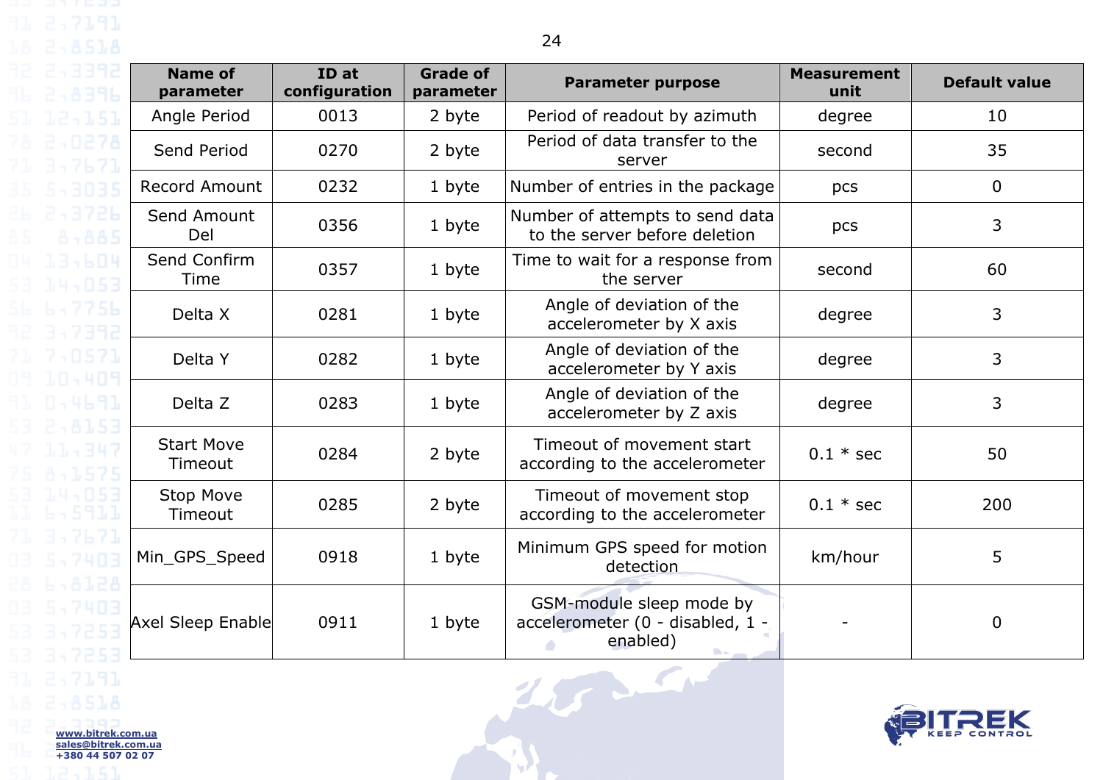| <b>Name of</b><br>parameter  | ID at<br>configuration | <b>Grade of</b><br>parameter | <b>Parameter purpose</b>                                                 | <b>Measurement</b><br>unit | <b>Default value</b> |
|------------------------------|------------------------|------------------------------|--------------------------------------------------------------------------|----------------------------|----------------------|
| Angle Period                 | 0013                   | 2 byte                       | Period of readout by azimuth                                             | degree                     | 10                   |
| Send Period                  | 0270                   | 2 byte                       | Period of data transfer to the<br>server                                 | second                     | 35                   |
| <b>Record Amount</b>         | 0232                   | 1 byte                       | Number of entries in the package                                         | pcs                        | $\mathbf 0$          |
| Send Amount<br>Del           | 0356                   | 1 byte                       | Number of attempts to send data<br>to the server before deletion         | pcs                        | $\overline{3}$       |
| Send Confirm<br>Time         | 0357                   | 1 byte                       | Time to wait for a response from<br>the server                           | second                     | 60                   |
| Delta X                      | 0281                   | 1 byte                       | Angle of deviation of the<br>accelerometer by X axis                     | degree                     | $\overline{3}$       |
| Delta Y                      | 0282                   | 1 byte                       | Angle of deviation of the<br>accelerometer by Y axis                     | degree                     | $\mathfrak{Z}$       |
| Delta Z                      | 0283                   | 1 byte                       | Angle of deviation of the<br>accelerometer by Z axis                     | degree                     | $\mathfrak{Z}$       |
| <b>Start Move</b><br>Timeout | 0284                   | 2 byte                       | Timeout of movement start<br>according to the accelerometer              | $0.1 * sec$                | 50                   |
| <b>Stop Move</b><br>Timeout  | 0285                   | 2 byte                       | Timeout of movement stop<br>according to the accelerometer               | $0.1 * sec$                | 200                  |
| Min_GPS_Speed                | 0918                   | 1 byte                       | Minimum GPS speed for motion<br>detection                                | km/hour                    | 5                    |
| Axel Sleep Enable            | 0911                   | 1 byte                       | GSM-module sleep mode by<br>accelerometer (0 - disabled, 1 -<br>enabled) |                            | $\mathbf 0$          |
|                              |                        |                              |                                                                          |                            | SEK                  |

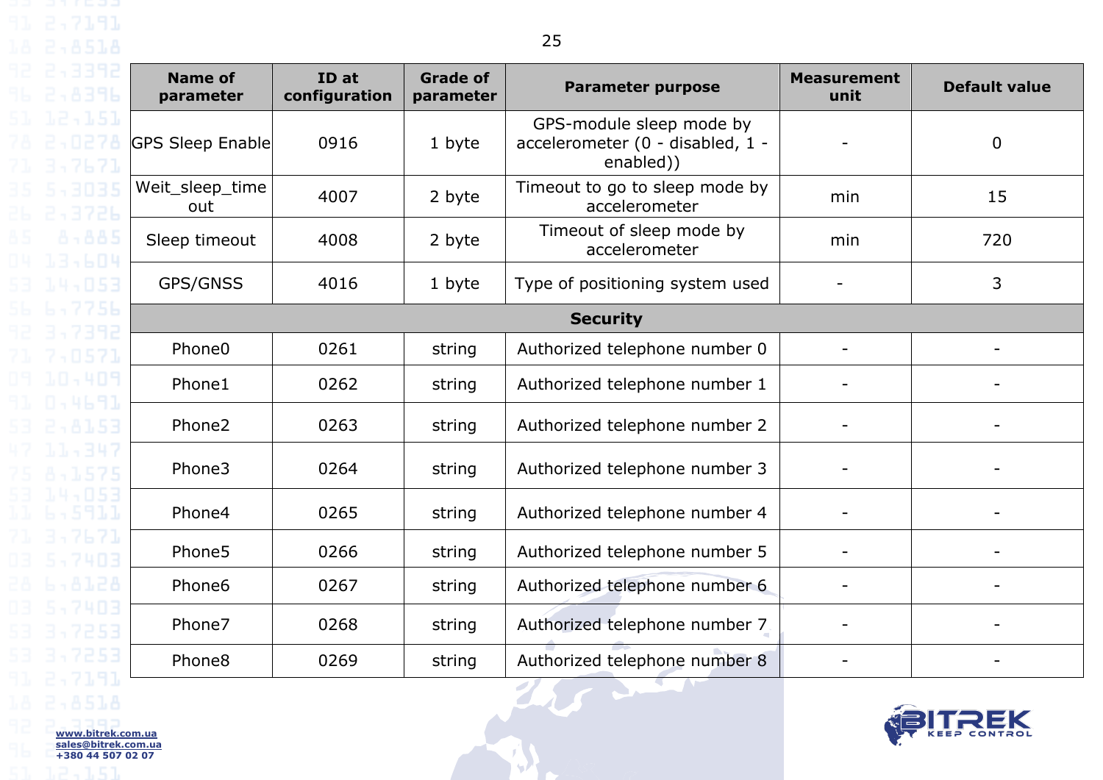13,604

| <b>Name of</b><br>parameter | ID at<br>configuration | <b>Grade of</b><br>parameter | <b>Parameter purpose</b>                                                  | <b>Measurement</b><br>unit   | <b>Default value</b> |  |  |  |
|-----------------------------|------------------------|------------------------------|---------------------------------------------------------------------------|------------------------------|----------------------|--|--|--|
| <b>GPS Sleep Enable</b>     | 0916                   | 1 byte                       | GPS-module sleep mode by<br>accelerometer (0 - disabled, 1 -<br>enabled)) |                              | $\mathbf 0$          |  |  |  |
| Weit_sleep_time<br>out      | 4007                   | 2 byte                       | Timeout to go to sleep mode by<br>accelerometer                           | min                          | 15                   |  |  |  |
| Sleep timeout               | 4008                   | 2 byte                       | Timeout of sleep mode by<br>accelerometer                                 | min                          | 720                  |  |  |  |
| GPS/GNSS                    | 4016                   | 1 byte                       | Type of positioning system used                                           |                              | 3                    |  |  |  |
| <b>Security</b>             |                        |                              |                                                                           |                              |                      |  |  |  |
| Phone <sub>0</sub>          | 0261                   | string                       | Authorized telephone number 0                                             |                              |                      |  |  |  |
| Phone1                      | 0262                   | string                       | Authorized telephone number 1                                             |                              |                      |  |  |  |
| Phone2                      | 0263                   | string                       | Authorized telephone number 2                                             |                              |                      |  |  |  |
| Phone3                      | 0264                   | string                       | Authorized telephone number 3                                             |                              |                      |  |  |  |
| Phone4                      | 0265                   | string                       | Authorized telephone number 4                                             | $\qquad \qquad \blacksquare$ |                      |  |  |  |
| Phone <sub>5</sub>          | 0266                   | string                       | Authorized telephone number 5                                             | $\overline{\phantom{0}}$     |                      |  |  |  |
| Phone <sub>6</sub>          | 0267                   | string                       | Authorized telephone number 6                                             | -                            |                      |  |  |  |
| Phone7                      | 0268                   | string                       | Authorized telephone number 7.                                            |                              |                      |  |  |  |
| Phone <sub>8</sub>          | 0269                   | string                       | Authorized telephone number 8                                             |                              |                      |  |  |  |

T STATE

**AF** 

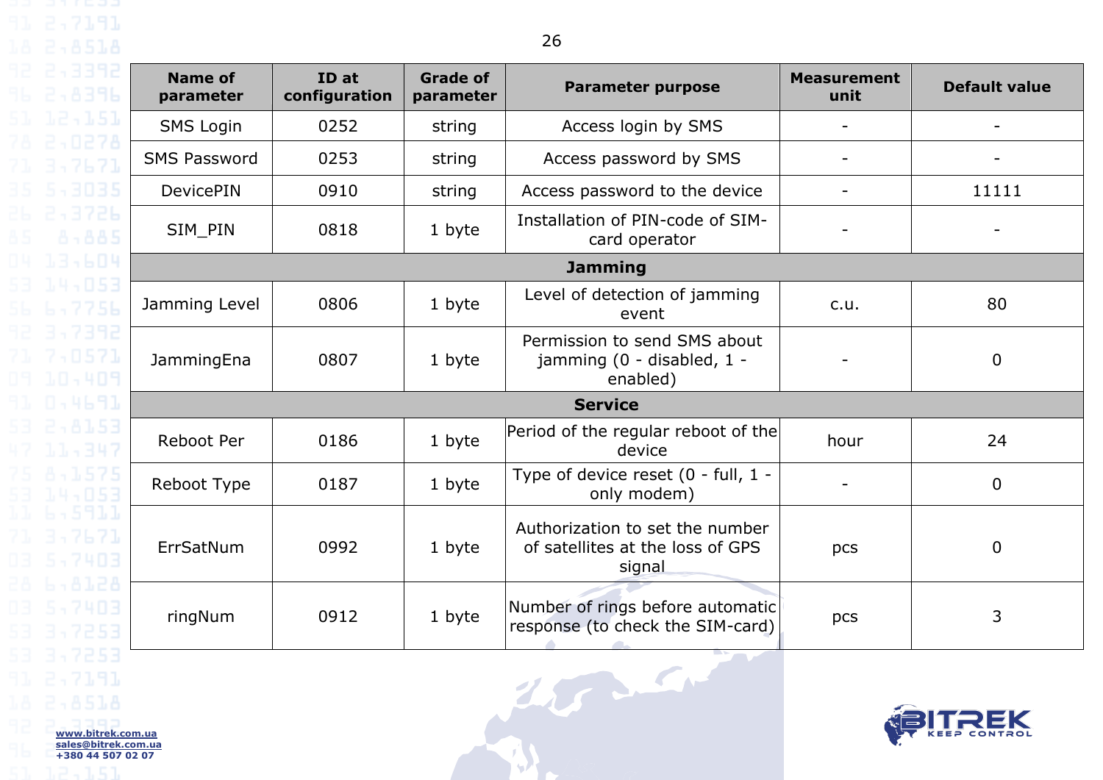| <b>Name of</b><br>parameter | ID at<br>configuration | <b>Grade of</b><br>parameter | <b>Parameter purpose</b>                                                      | <b>Measurement</b><br>unit | <b>Default value</b> |  |
|-----------------------------|------------------------|------------------------------|-------------------------------------------------------------------------------|----------------------------|----------------------|--|
| <b>SMS Login</b>            | 0252                   | string                       | Access login by SMS                                                           |                            |                      |  |
| <b>SMS Password</b>         | 0253                   | string                       | Access password by SMS                                                        |                            |                      |  |
| <b>DevicePIN</b>            | 0910                   | string                       | Access password to the device                                                 | $\overline{\phantom{0}}$   | 11111                |  |
| SIM PIN                     | 0818                   | 1 byte                       | Installation of PIN-code of SIM-<br>card operator                             |                            |                      |  |
|                             |                        |                              | <b>Jamming</b>                                                                |                            |                      |  |
| Jamming Level               | 0806                   | 1 byte                       | Level of detection of jamming<br>event                                        | c.u.                       | 80                   |  |
| JammingEna                  | 0807                   | 1 byte                       | Permission to send SMS about<br>jamming (0 - disabled, 1 -<br>enabled)        |                            | $\overline{0}$       |  |
| <b>Service</b>              |                        |                              |                                                                               |                            |                      |  |
| <b>Reboot Per</b>           | 0186                   | 1 byte                       | Period of the regular reboot of the<br>device                                 | hour                       | 24                   |  |
| Reboot Type                 | 0187                   | 1 byte                       | Type of device reset (0 - full, 1 -<br>only modem)                            |                            | $\mathbf 0$          |  |
| ErrSatNum                   | 0992                   | 1 byte                       | Authorization to set the number<br>of satellites at the loss of GPS<br>signal | pcs                        | $\mathbf 0$          |  |
| ringNum                     | 0912                   | 1 byte                       | Number of rings before automatic<br>response (to check the SIM-card)          | pcs                        | 3                    |  |

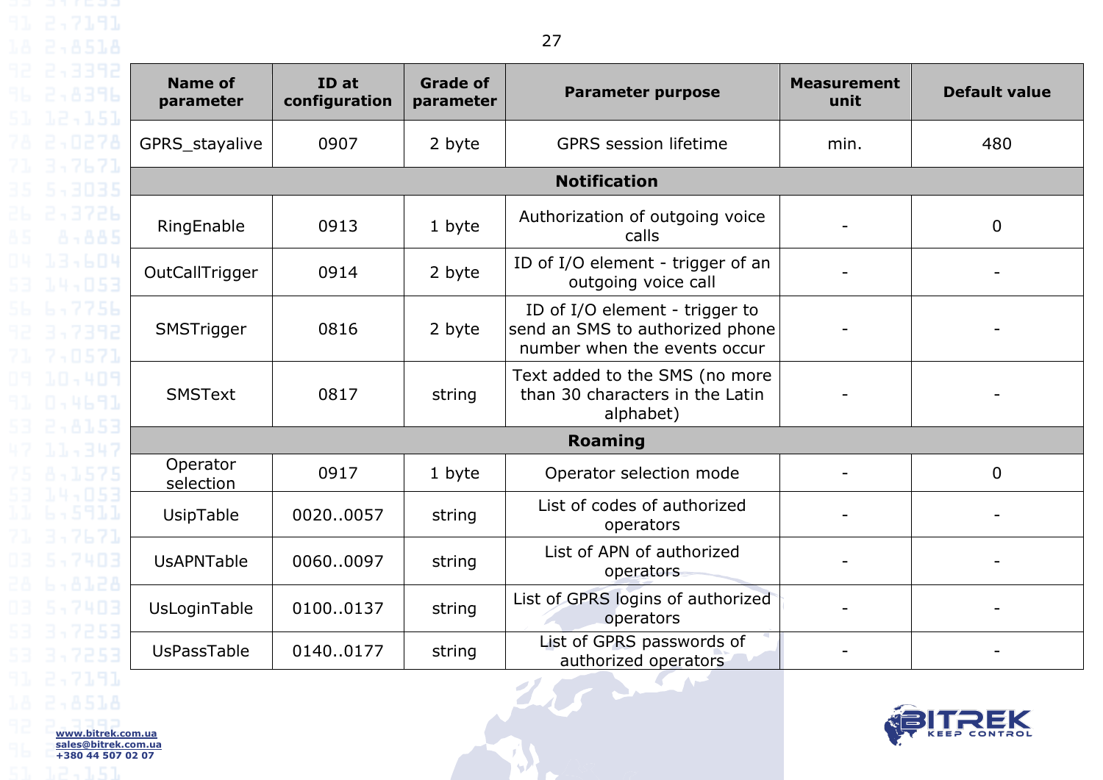| <b>Name of</b><br>parameter | ID at<br>configuration | <b>Grade of</b><br>parameter | <b>Parameter purpose</b>                                                                          | <b>Measurement</b><br>unit | <b>Default value</b> |  |  |  |
|-----------------------------|------------------------|------------------------------|---------------------------------------------------------------------------------------------------|----------------------------|----------------------|--|--|--|
| GPRS_stayalive              | 0907                   | 2 byte                       | <b>GPRS</b> session lifetime                                                                      | min.                       | 480                  |  |  |  |
|                             | <b>Notification</b>    |                              |                                                                                                   |                            |                      |  |  |  |
| RingEnable                  | 0913                   | 1 byte                       | Authorization of outgoing voice<br>calls                                                          |                            | $\overline{0}$       |  |  |  |
| OutCallTrigger              | 0914                   | 2 byte                       | ID of I/O element - trigger of an<br>outgoing voice call                                          |                            |                      |  |  |  |
| SMSTrigger                  | 0816                   | 2 byte                       | ID of I/O element - trigger to<br>send an SMS to authorized phone<br>number when the events occur |                            |                      |  |  |  |
| <b>SMSText</b>              | 0817                   | string                       | Text added to the SMS (no more<br>than 30 characters in the Latin<br>alphabet)                    |                            |                      |  |  |  |
| Roaming                     |                        |                              |                                                                                                   |                            |                      |  |  |  |
| Operator<br>selection       | 0917                   | 1 byte                       | Operator selection mode                                                                           |                            | $\mathbf 0$          |  |  |  |
| UsipTable                   | 00200057               | string                       | List of codes of authorized<br>operators                                                          |                            |                      |  |  |  |
| <b>UsAPNTable</b>           | 00600097               | string                       | List of APN of authorized<br>operators                                                            |                            |                      |  |  |  |
| UsLoginTable                | 01000137               | string                       | List of GPRS logins of authorized<br>operators                                                    |                            |                      |  |  |  |
| UsPassTable                 | 01400177               | string                       | List of GPRS passwords of<br>authorized operators                                                 |                            |                      |  |  |  |
|                             |                        |                              |                                                                                                   |                            |                      |  |  |  |

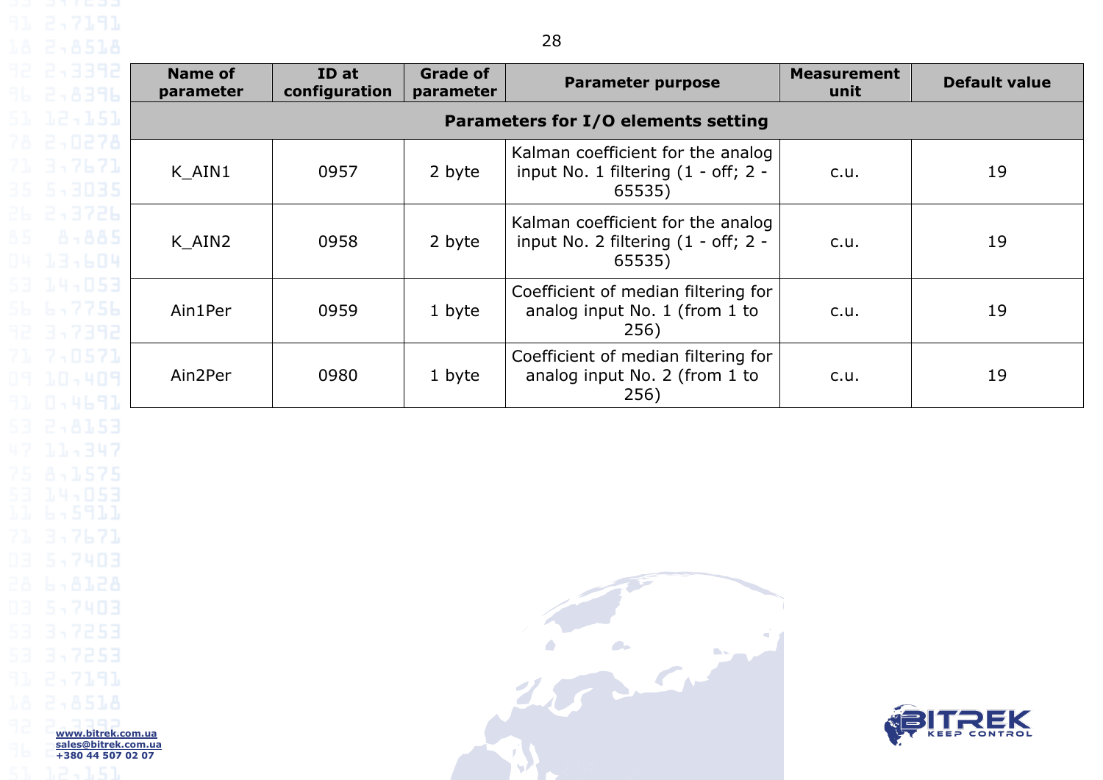| <b>Name of</b><br>parameter | ID at<br>configuration              | <b>Grade of</b><br>parameter | <b>Parameter purpose</b>                                                             | <b>Measurement</b><br>unit | <b>Default value</b> |  |  |
|-----------------------------|-------------------------------------|------------------------------|--------------------------------------------------------------------------------------|----------------------------|----------------------|--|--|
|                             | Parameters for I/O elements setting |                              |                                                                                      |                            |                      |  |  |
| K AIN1                      | 0957                                | 2 byte                       | Kalman coefficient for the analog<br>input No. 1 filtering $(1 - off; 2 -$<br>65535) | c.u.                       | 19                   |  |  |
| K AIN2                      | 0958                                | 2 byte                       | Kalman coefficient for the analog<br>input No. 2 filtering $(1 - off; 2 -$<br>65535) | c.u.                       | 19                   |  |  |
| Ain1Per                     | 0959                                | 1 byte                       | Coefficient of median filtering for<br>analog input No. 1 (from 1 to<br>256)         | c.u.                       | 19                   |  |  |
| Ain2Per                     | 0980                                | 1 byte                       | Coefficient of median filtering for<br>analog input No. 2 (from 1 to<br>256)         | c.u.                       | 19                   |  |  |

28

<span id="page-27-0"></span>Los Cristian

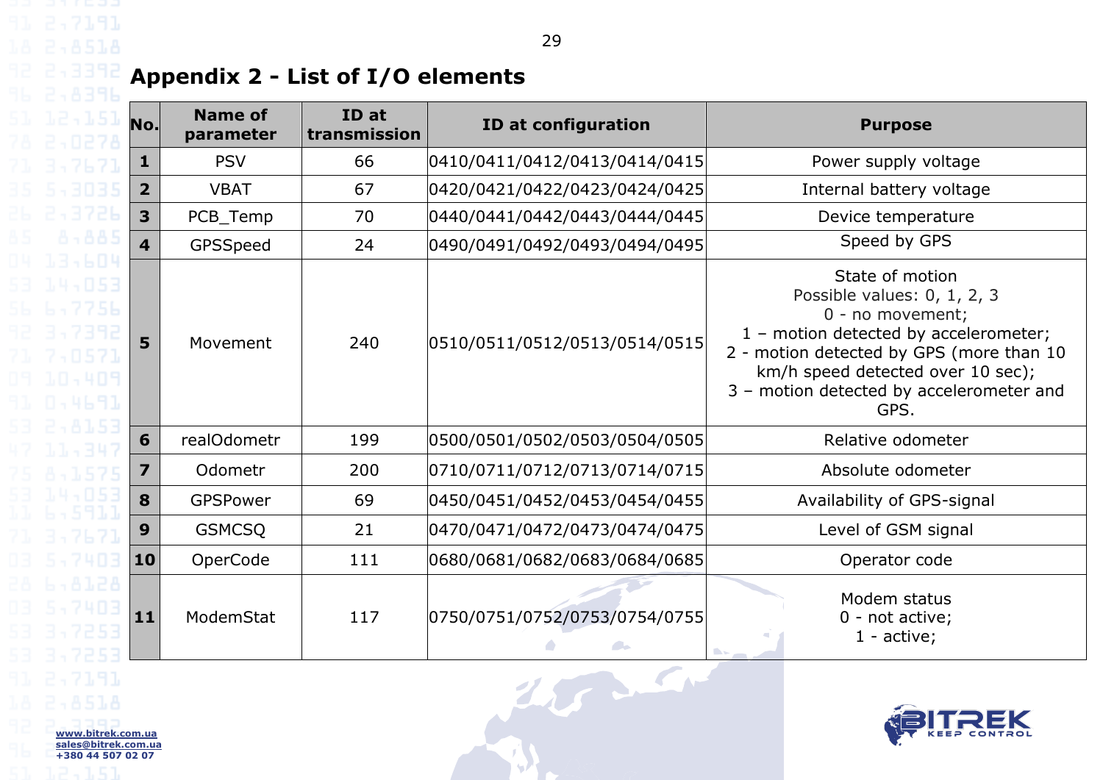# **Appendix 2 - List of I/O elements**

**www.bitrek.com.ua sales@bitrek.com.ua +380 44 507 02 07**

<span id="page-28-0"></span>

| No.                     | <b>Name of</b><br>parameter | ID at<br>transmission | ID at configuration           | <b>Purpose</b>                                                                                                                                                                                                                                   |
|-------------------------|-----------------------------|-----------------------|-------------------------------|--------------------------------------------------------------------------------------------------------------------------------------------------------------------------------------------------------------------------------------------------|
| $\mathbf{1}$            | <b>PSV</b>                  | 66                    | 0410/0411/0412/0413/0414/0415 | Power supply voltage                                                                                                                                                                                                                             |
| $\overline{2}$          | <b>VBAT</b>                 | 67                    | 0420/0421/0422/0423/0424/0425 | Internal battery voltage                                                                                                                                                                                                                         |
| 3                       | PCB_Temp                    | 70                    | 0440/0441/0442/0443/0444/0445 | Device temperature                                                                                                                                                                                                                               |
| 4                       | GPSSpeed                    | 24                    | 0490/0491/0492/0493/0494/0495 | Speed by GPS                                                                                                                                                                                                                                     |
| 5                       | Movement                    | 240                   | 0510/0511/0512/0513/0514/0515 | State of motion<br>Possible values: 0, 1, 2, 3<br>0 - no movement;<br>1 - motion detected by accelerometer;<br>2 - motion detected by GPS (more than 10<br>km/h speed detected over 10 sec);<br>3 - motion detected by accelerometer and<br>GPS. |
| 6                       | realOdometr                 | 199                   | 0500/0501/0502/0503/0504/0505 | Relative odometer                                                                                                                                                                                                                                |
| $\overline{\mathbf{z}}$ | Odometr                     | 200                   | 0710/0711/0712/0713/0714/0715 | Absolute odometer                                                                                                                                                                                                                                |
| 8                       | GPSPower                    | 69                    | 0450/0451/0452/0453/0454/0455 | Availability of GPS-signal                                                                                                                                                                                                                       |
| 9                       | <b>GSMCSQ</b>               | 21                    | 0470/0471/0472/0473/0474/0475 | Level of GSM signal                                                                                                                                                                                                                              |
| 10                      | OperCode                    | 111                   | 0680/0681/0682/0683/0684/0685 | Operator code                                                                                                                                                                                                                                    |
| 11                      | ModemStat                   | 117                   | 0750/0751/0752/0753/0754/0755 | Modem status<br>0 - not active;<br>$1 - active;$                                                                                                                                                                                                 |
| trek.com.ua             |                             |                       |                               |                                                                                                                                                                                                                                                  |



29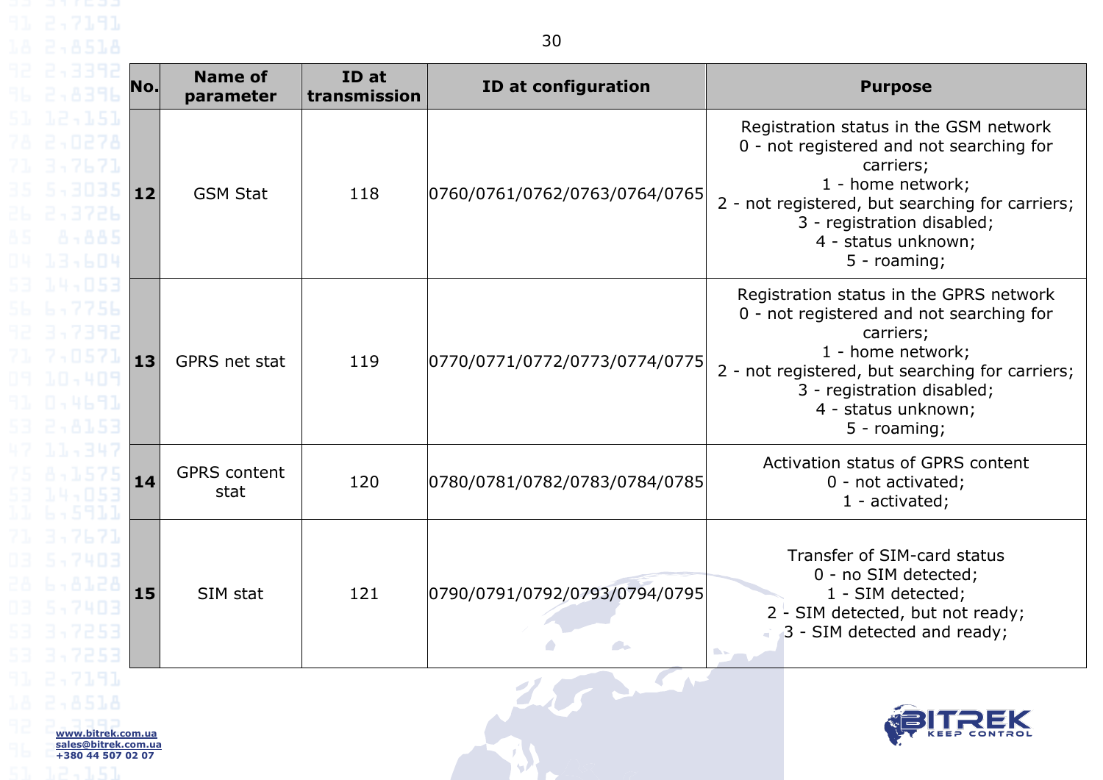| 2,3392<br>2,8396                                                                   | No. | <b>Name of</b><br>parameter | ID at<br>transmission | ID at configuration                                           | <b>Purpose</b>                                                                                                                                                                                                                                  |
|------------------------------------------------------------------------------------|-----|-----------------------------|-----------------------|---------------------------------------------------------------|-------------------------------------------------------------------------------------------------------------------------------------------------------------------------------------------------------------------------------------------------|
| 12,151<br>2,0278<br>3,7671<br>5,3035<br>2,3726<br>8.885<br>13,604                  | 12  | <b>GSM Stat</b>             | 118                   | 0760/0761/0762/0763/0764/0765                                 | Registration status in the GSM network<br>0 - not registered and not searching for<br>carriers;<br>1 - home network;<br>2 - not registered, but searching for carriers;<br>3 - registration disabled;<br>4 - status unknown;<br>5 - roaming;    |
| 14,053<br>6,7756<br>3,7392<br>7,0571<br>10,409<br>0.4691<br>2,8153                 | 13  | GPRS net stat               | 119                   | 0770/0771/0772/0773/0774/0775                                 | Registration status in the GPRS network<br>0 - not registered and not searching for<br>carriers;<br>1 - home network;<br>2 - not registered, but searching for carriers;<br>3 - registration disabled;<br>4 - status unknown;<br>$5 - roaming;$ |
| 11,347<br>8.157<br>14,853<br>-5911                                                 | 14  | <b>GPRS</b> content<br>stat | 120                   | 0780/0781/0782/0783/0784/0785                                 | Activation status of GPRS content<br>0 - not activated;<br>$1$ - activated;                                                                                                                                                                     |
| 3,7671<br>5,7403<br>6.8128<br>5,7403                                               | 15  | SIM stat                    | 121                   | 0790/0791/0792/0793/0794/0795<br><b>Contract</b><br>$\bullet$ | Transfer of SIM-card status<br>0 - no SIM detected;<br>1 - SIM detected;<br>$2 - SIM$ detected, but not ready;<br>3 - SIM detected and ready;<br><b>Designation</b>                                                                             |
| 2.8518<br>www.bitrek.com.ua<br>sales@bitrek.com.ua<br>+380 44 507 02 07<br>1. E.T. |     |                             |                       |                                                               |                                                                                                                                                                                                                                                 |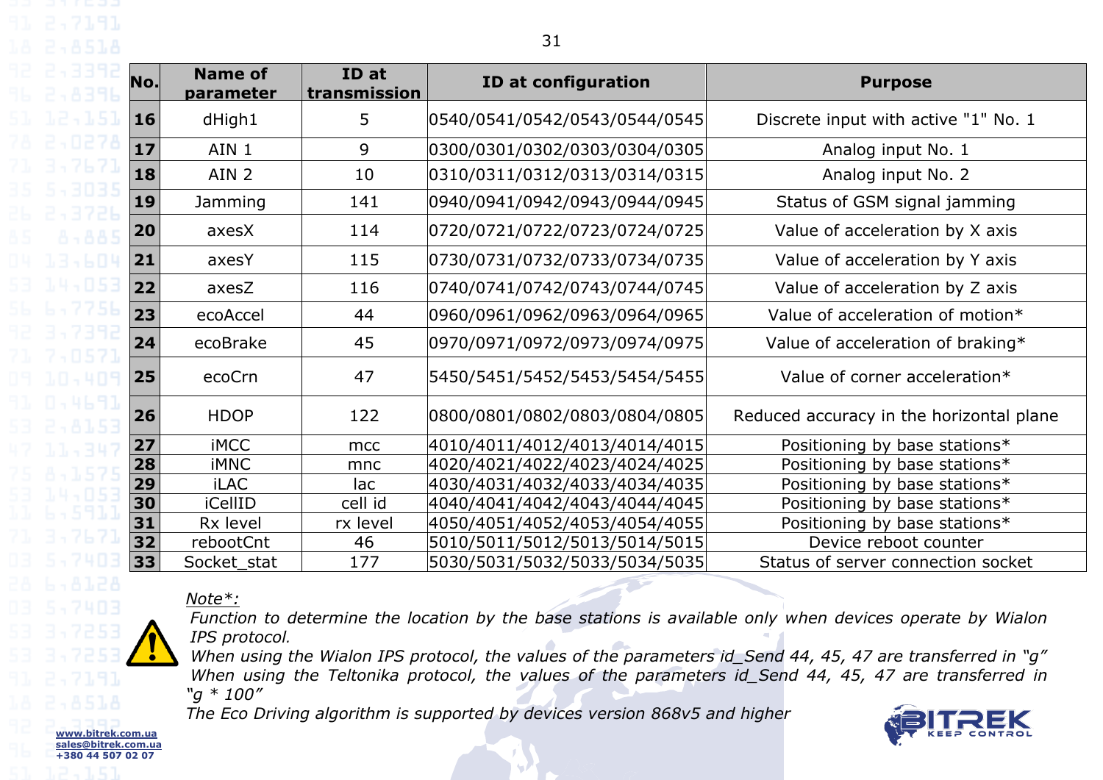| $\overline{\mathsf{No}}$ . | <b>Name of</b><br>parameter | ID at<br>transmission | <b>ID at configuration</b>    | <b>Purpose</b>                           |
|----------------------------|-----------------------------|-----------------------|-------------------------------|------------------------------------------|
| <b>16</b>                  | dHigh1                      | 5                     | 0540/0541/0542/0543/0544/0545 | Discrete input with active "1" No. 1     |
| $17$                       | AIN 1                       | 9                     | 0300/0301/0302/0303/0304/0305 | Analog input No. 1                       |
| 18                         | AIN <sub>2</sub>            | 10                    | 0310/0311/0312/0313/0314/0315 | Analog input No. 2                       |
| <b>19</b>                  | Jamming                     | 141                   | 0940/0941/0942/0943/0944/0945 | Status of GSM signal jamming             |
| 20                         | axesX                       | 114                   | 0720/0721/0722/0723/0724/0725 | Value of acceleration by X axis          |
| 21                         | axesY                       | 115                   | 0730/0731/0732/0733/0734/0735 | Value of acceleration by Y axis          |
| 22                         | axesZ                       | 116                   | 0740/0741/0742/0743/0744/0745 | Value of acceleration by Z axis          |
| 23                         | ecoAccel                    | 44                    | 0960/0961/0962/0963/0964/0965 | Value of acceleration of motion*         |
| 24                         | ecoBrake                    | 45                    | 0970/0971/0972/0973/0974/0975 | Value of acceleration of braking*        |
| 25                         | ecoCrn                      | 47                    | 5450/5451/5452/5453/5454/5455 | Value of corner acceleration*            |
| 26                         | <b>HDOP</b>                 | 122                   | 0800/0801/0802/0803/0804/0805 | Reduced accuracy in the horizontal plane |
| 27                         | <b>iMCC</b>                 | mcc                   | 4010/4011/4012/4013/4014/4015 | Positioning by base stations*            |
| 28                         | <b>iMNC</b>                 | mnc                   | 4020/4021/4022/4023/4024/4025 | Positioning by base stations*            |
| 29                         | <b>iLAC</b>                 | lac                   | 4030/4031/4032/4033/4034/4035 | Positioning by base stations*            |

**30** iCellID cell id  $|4040/4041/4042/4043/4044/4045|$  Positioning by base stations\* **31** Rx level  $\left| \right|$  rx level  $\left| \right|$  4050/4051/4052/4053/4054/4055 Positioning by base stations\* **32** rebootCnt 46 5010/5011/5012/5013/5014/5015 Device reboot counter

**33** Socket stat 177 5030/5031/5032/5033/5034/5035 Status of server connection socket

*Note\*:*

**www.bitrek.com.ua sales@bitrek.com.ua +380 44 507 02 07**

*Function to determine the location by the base stations is available only when devices operate by Wialon IPS protocol.*

*When using the Wialon IPS protocol, the values of the parameters id\_Send 44, 45, 47 are transferred in "g" When using the Teltonika protocol, the values of the parameters id\_Send 44, 45, 47 are transferred in "g \* 100"*

*The Eco Driving algorithm is supported by devices version 868v5 and higher*